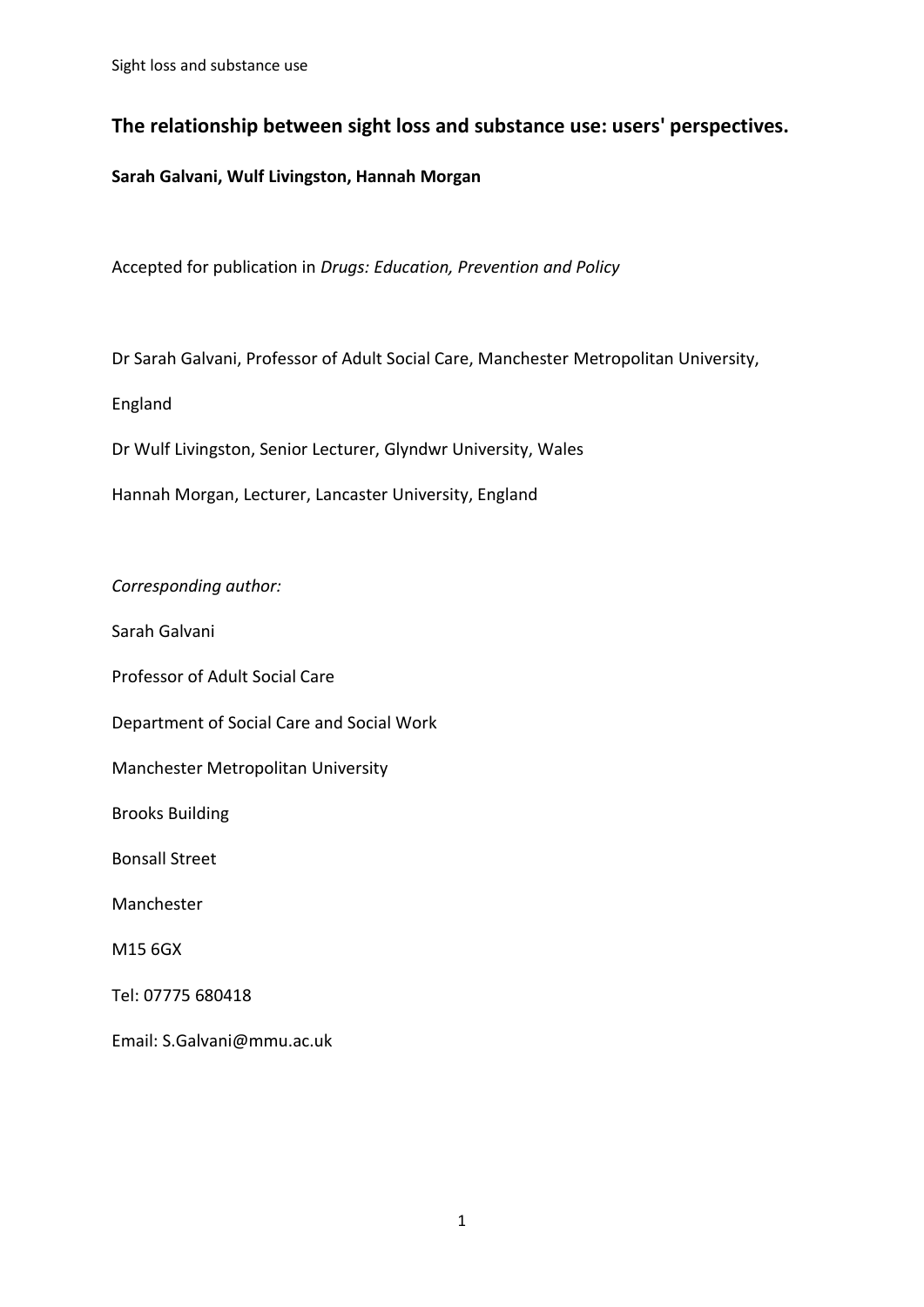# **The relationship between sight loss and substance use: users' perspectives.**

# **Sarah Galvani, Wulf Livingston, Hannah Morgan**

Accepted for publication in *Drugs: Education, Prevention and Policy*

Dr Sarah Galvani, Professor of Adult Social Care, Manchester Metropolitan University,

England

Dr Wulf Livingston, Senior Lecturer, Glyndwr University, Wales

Hannah Morgan, Lecturer, Lancaster University, England

*Corresponding author:* 

Sarah Galvani

Professor of Adult Social Care

Department of Social Care and Social Work

Manchester Metropolitan University

Brooks Building

Bonsall Street

Manchester

M15 6GX

Tel: 07775 680418

Email: S.Galvani@mmu.ac.uk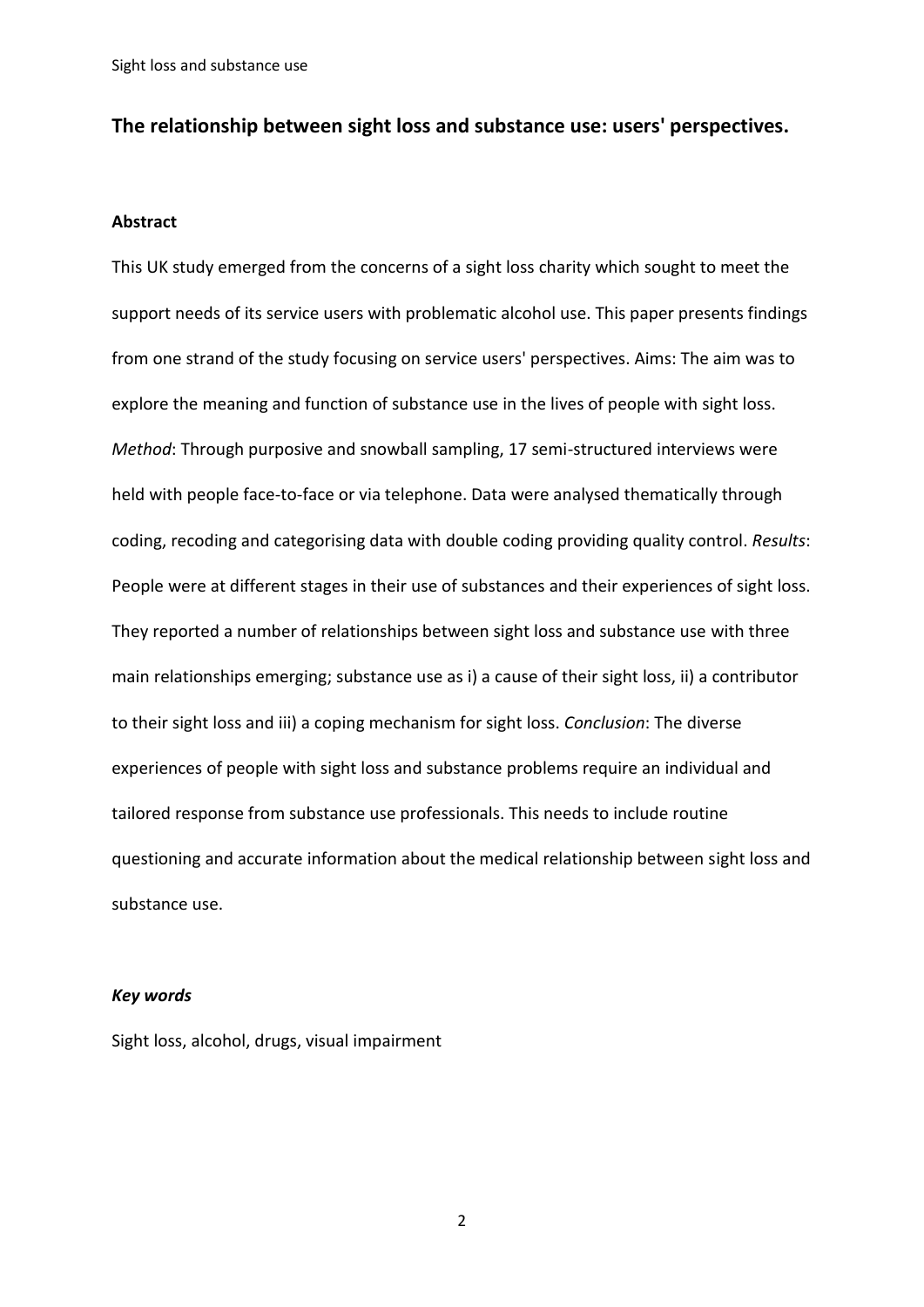# **The relationship between sight loss and substance use: users' perspectives.**

#### **Abstract**

This UK study emerged from the concerns of a sight loss charity which sought to meet the support needs of its service users with problematic alcohol use. This paper presents findings from one strand of the study focusing on service users' perspectives. Aims: The aim was to explore the meaning and function of substance use in the lives of people with sight loss. *Method*: Through purposive and snowball sampling, 17 semi-structured interviews were held with people face-to-face or via telephone. Data were analysed thematically through coding, recoding and categorising data with double coding providing quality control. *Results*: People were at different stages in their use of substances and their experiences of sight loss. They reported a number of relationships between sight loss and substance use with three main relationships emerging; substance use as i) a cause of their sight loss, ii) a contributor to their sight loss and iii) a coping mechanism for sight loss. *Conclusion*: The diverse experiences of people with sight loss and substance problems require an individual and tailored response from substance use professionals. This needs to include routine questioning and accurate information about the medical relationship between sight loss and substance use.

#### *Key words*

Sight loss, alcohol, drugs, visual impairment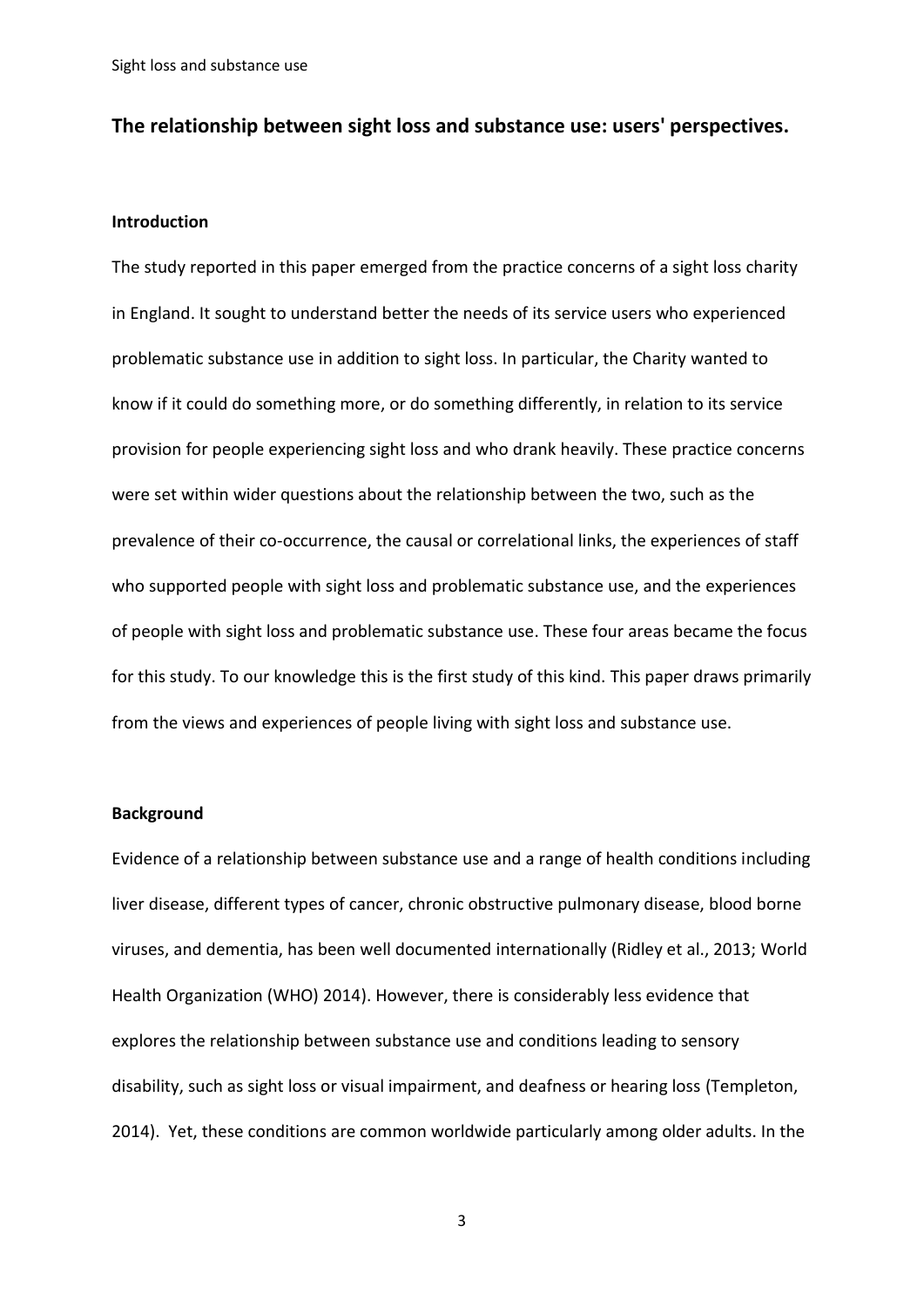# **The relationship between sight loss and substance use: users' perspectives.**

#### **Introduction**

The study reported in this paper emerged from the practice concerns of a sight loss charity in England. It sought to understand better the needs of its service users who experienced problematic substance use in addition to sight loss. In particular, the Charity wanted to know if it could do something more, or do something differently, in relation to its service provision for people experiencing sight loss and who drank heavily. These practice concerns were set within wider questions about the relationship between the two, such as the prevalence of their co-occurrence, the causal or correlational links, the experiences of staff who supported people with sight loss and problematic substance use, and the experiences of people with sight loss and problematic substance use. These four areas became the focus for this study. To our knowledge this is the first study of this kind. This paper draws primarily from the views and experiences of people living with sight loss and substance use.

#### **Background**

Evidence of a relationship between substance use and a range of health conditions including liver disease, different types of cancer, chronic obstructive pulmonary disease, blood borne viruses, and dementia, has been well documented internationally (Ridley et al., 2013; World Health Organization (WHO) 2014). However, there is considerably less evidence that explores the relationship between substance use and conditions leading to sensory disability, such as sight loss or visual impairment, and deafness or hearing loss (Templeton, 2014). Yet, these conditions are common worldwide particularly among older adults. In the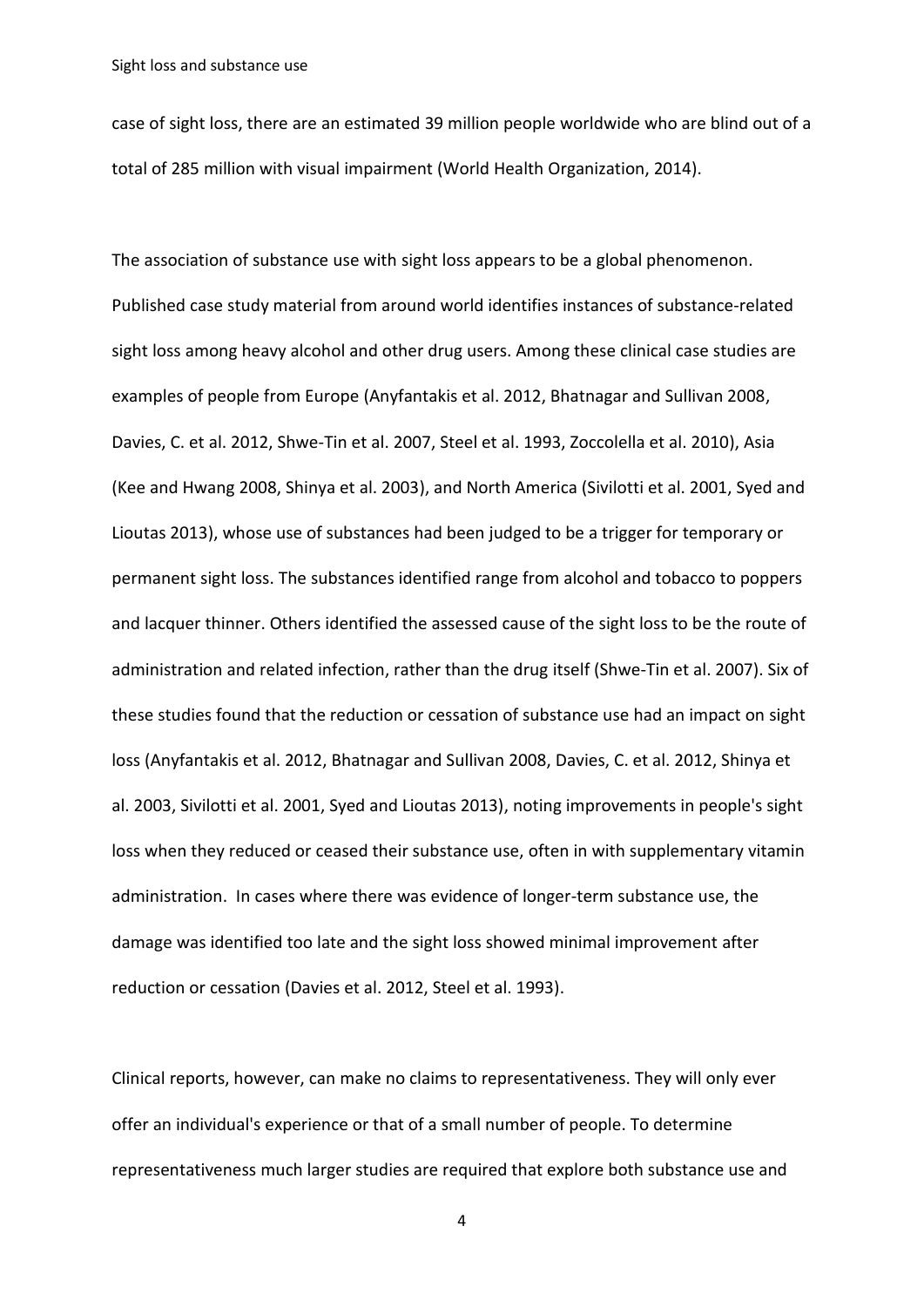case of sight loss, there are an estimated 39 million people worldwide who are blind out of a total of 285 million with visual impairment (World Health Organization, 2014).

The association of substance use with sight loss appears to be a global phenomenon. Published case study material from around world identifies instances of substance-related sight loss among heavy alcohol and other drug users. Among these clinical case studies are examples of people from Europe (Anyfantakis et al. 2012, Bhatnagar and Sullivan 2008, Davies, C. et al. 2012, Shwe-Tin et al. 2007, Steel et al. 1993, Zoccolella et al. 2010), Asia (Kee and Hwang 2008, Shinya et al. 2003), and North America (Sivilotti et al. 2001, Syed and Lioutas 2013), whose use of substances had been judged to be a trigger for temporary or permanent sight loss. The substances identified range from alcohol and tobacco to poppers and lacquer thinner. Others identified the assessed cause of the sight loss to be the route of administration and related infection, rather than the drug itself (Shwe-Tin et al. 2007). Six of these studies found that the reduction or cessation of substance use had an impact on sight loss (Anyfantakis et al. 2012, Bhatnagar and Sullivan 2008, Davies, C. et al. 2012, Shinya et al. 2003, Sivilotti et al. 2001, Syed and Lioutas 2013), noting improvements in people's sight loss when they reduced or ceased their substance use, often in with supplementary vitamin administration. In cases where there was evidence of longer-term substance use, the damage was identified too late and the sight loss showed minimal improvement after reduction or cessation (Davies et al. 2012, Steel et al. 1993).

Clinical reports, however, can make no claims to representativeness. They will only ever offer an individual's experience or that of a small number of people. To determine representativeness much larger studies are required that explore both substance use and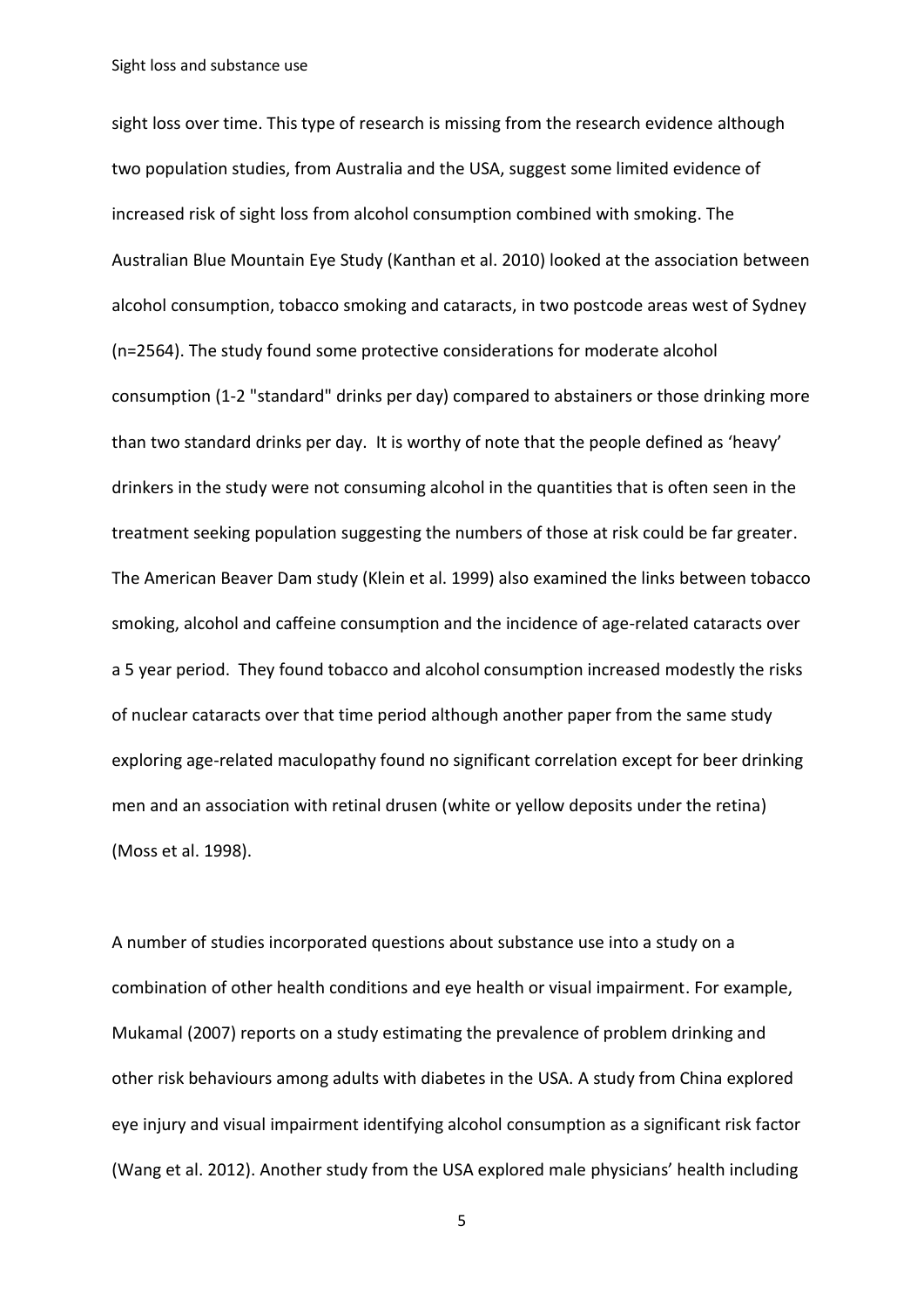sight loss over time. This type of research is missing from the research evidence although two population studies, from Australia and the USA, suggest some limited evidence of increased risk of sight loss from alcohol consumption combined with smoking. The Australian Blue Mountain Eye Study (Kanthan et al. 2010) looked at the association between alcohol consumption, tobacco smoking and cataracts, in two postcode areas west of Sydney (n=2564). The study found some protective considerations for moderate alcohol consumption (1-2 "standard" drinks per day) compared to abstainers or those drinking more than two standard drinks per day. It is worthy of note that the people defined as 'heavy' drinkers in the study were not consuming alcohol in the quantities that is often seen in the treatment seeking population suggesting the numbers of those at risk could be far greater. The American Beaver Dam study (Klein et al. 1999) also examined the links between tobacco smoking, alcohol and caffeine consumption and the incidence of age-related cataracts over a 5 year period. They found tobacco and alcohol consumption increased modestly the risks of nuclear cataracts over that time period although another paper from the same study exploring age-related maculopathy found no significant correlation except for beer drinking men and an association with retinal drusen (white or yellow deposits under the retina) (Moss et al. 1998).

A number of studies incorporated questions about substance use into a study on a combination of other health conditions and eye health or visual impairment. For example, Mukamal (2007) reports on a study estimating the prevalence of problem drinking and other risk behaviours among adults with diabetes in the USA. A study from China explored eye injury and visual impairment identifying alcohol consumption as a significant risk factor (Wang et al. 2012). Another study from the USA explored male physicians' health including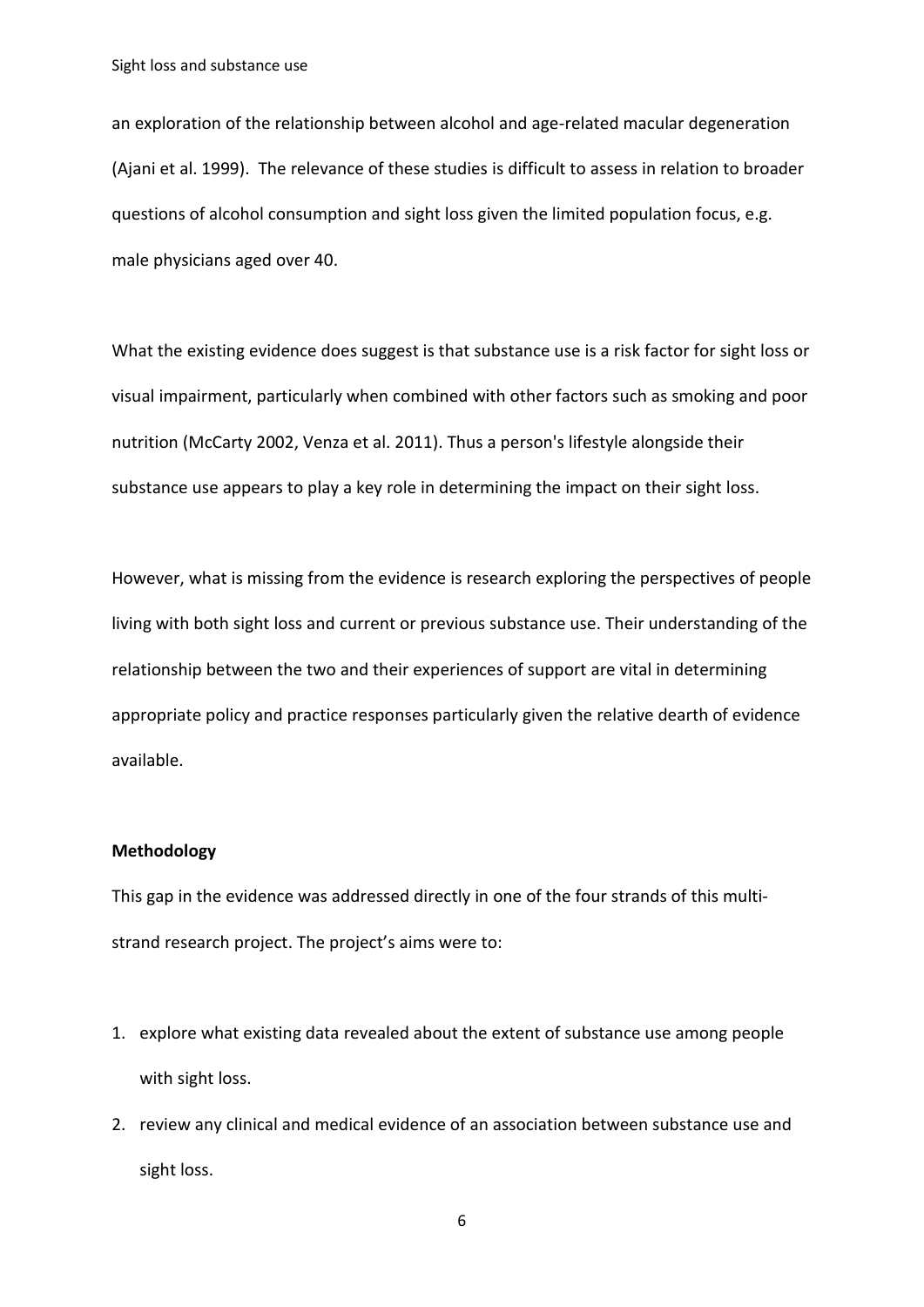an exploration of the relationship between alcohol and age-related macular degeneration (Ajani et al. 1999). The relevance of these studies is difficult to assess in relation to broader questions of alcohol consumption and sight loss given the limited population focus, e.g. male physicians aged over 40.

What the existing evidence does suggest is that substance use is a risk factor for sight loss or visual impairment, particularly when combined with other factors such as smoking and poor nutrition (McCarty 2002, Venza et al. 2011). Thus a person's lifestyle alongside their substance use appears to play a key role in determining the impact on their sight loss.

However, what is missing from the evidence is research exploring the perspectives of people living with both sight loss and current or previous substance use. Their understanding of the relationship between the two and their experiences of support are vital in determining appropriate policy and practice responses particularly given the relative dearth of evidence available.

#### **Methodology**

This gap in the evidence was addressed directly in one of the four strands of this multistrand research project. The project's aims were to:

- 1. explore what existing data revealed about the extent of substance use among people with sight loss.
- 2. review any clinical and medical evidence of an association between substance use and sight loss.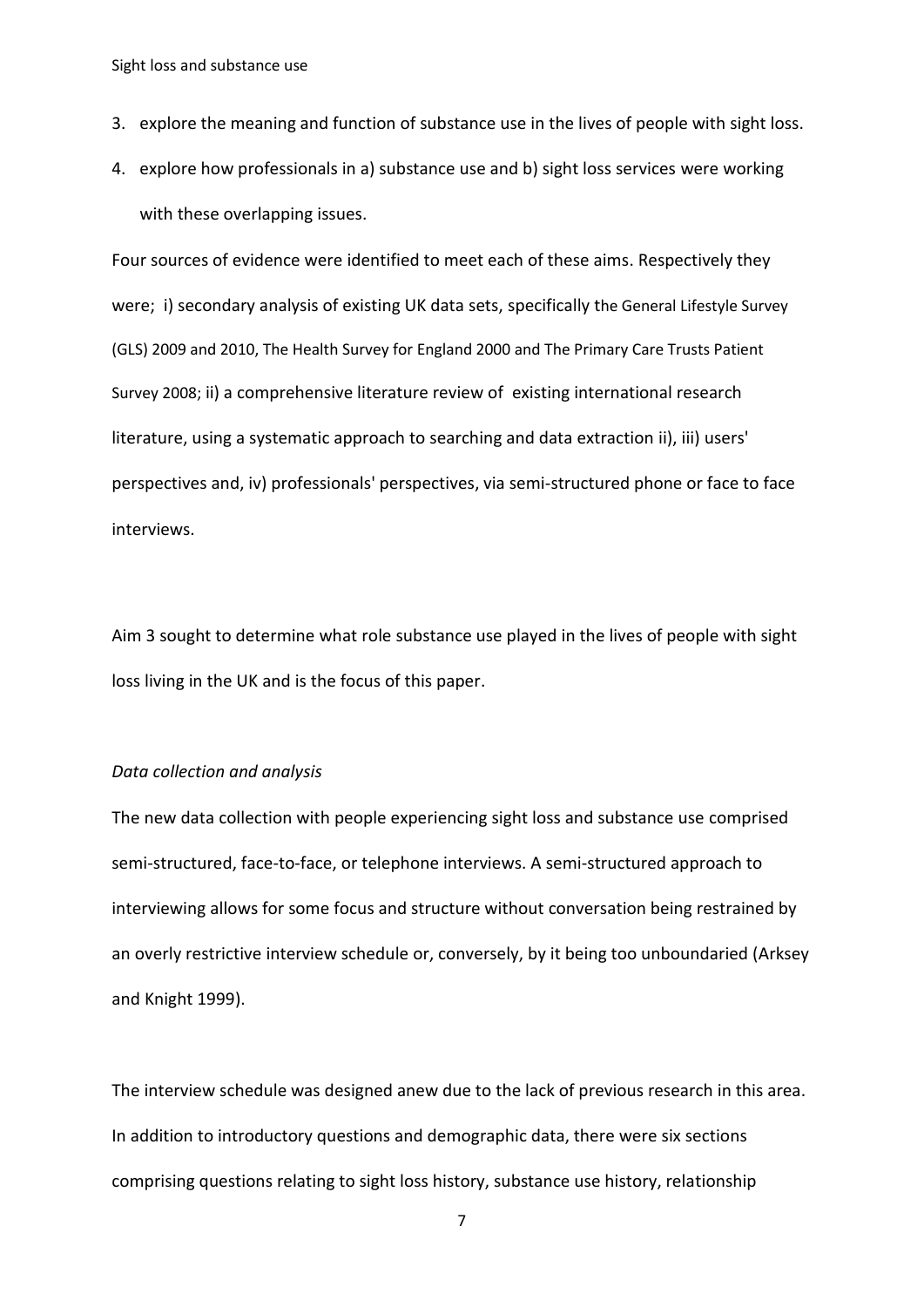- 3. explore the meaning and function of substance use in the lives of people with sight loss.
- 4. explore how professionals in a) substance use and b) sight loss services were working with these overlapping issues.

Four sources of evidence were identified to meet each of these aims. Respectively they were; i) secondary analysis of existing UK data sets, specifically the General Lifestyle Survey (GLS) 2009 and 2010, The Health Survey for England 2000 and The Primary Care Trusts Patient Survey 2008; ii) a comprehensive literature review of existing international research literature, using a systematic approach to searching and data extraction ii), iii) users' perspectives and, iv) professionals' perspectives, via semi-structured phone or face to face interviews.

Aim 3 sought to determine what role substance use played in the lives of people with sight loss living in the UK and is the focus of this paper.

#### *Data collection and analysis*

The new data collection with people experiencing sight loss and substance use comprised semi-structured, face-to-face, or telephone interviews. A semi-structured approach to interviewing allows for some focus and structure without conversation being restrained by an overly restrictive interview schedule or, conversely, by it being too unboundaried (Arksey and Knight 1999).

The interview schedule was designed anew due to the lack of previous research in this area. In addition to introductory questions and demographic data, there were six sections comprising questions relating to sight loss history, substance use history, relationship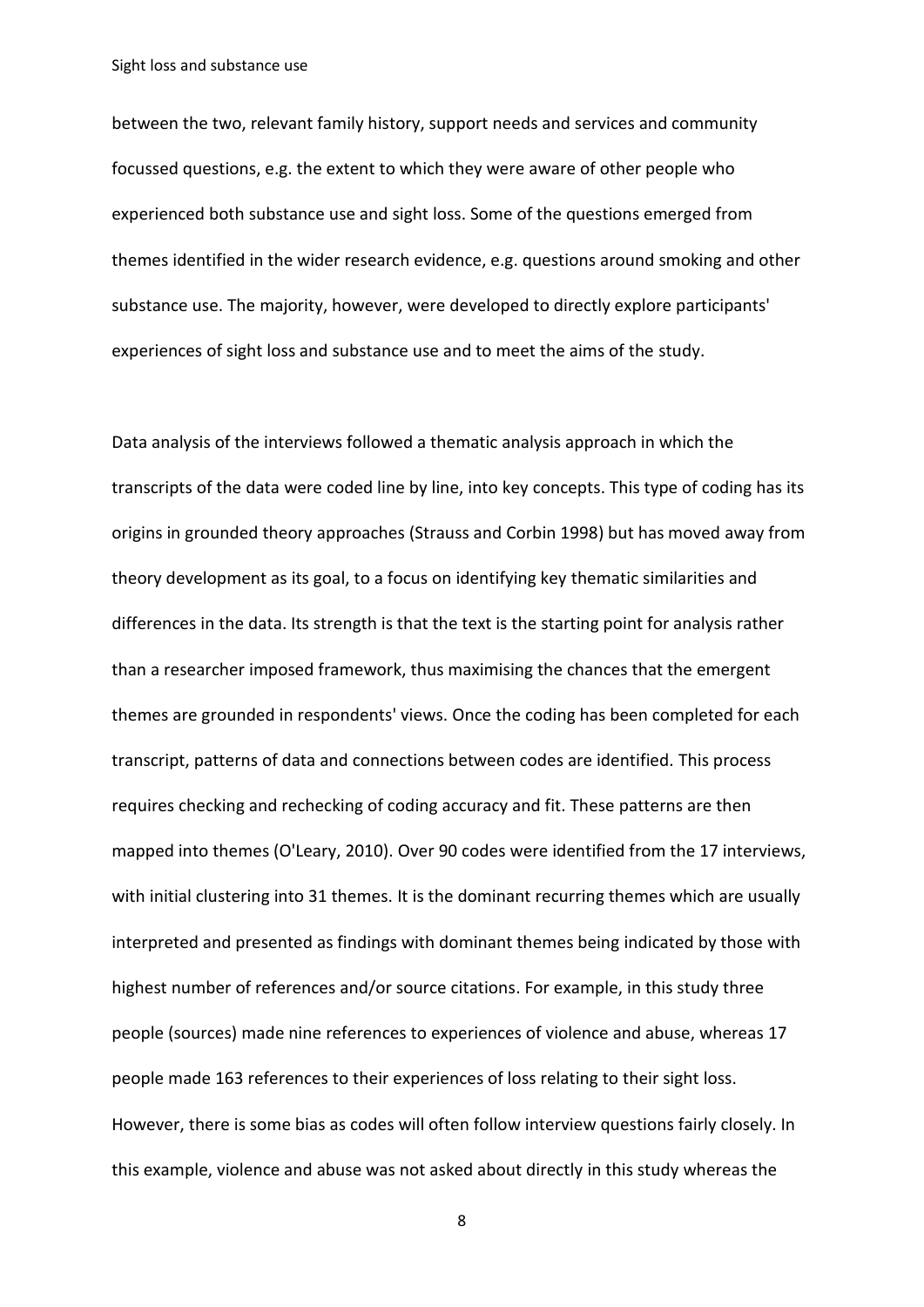between the two, relevant family history, support needs and services and community focussed questions, e.g. the extent to which they were aware of other people who experienced both substance use and sight loss. Some of the questions emerged from themes identified in the wider research evidence, e.g. questions around smoking and other substance use. The majority, however, were developed to directly explore participants' experiences of sight loss and substance use and to meet the aims of the study.

Data analysis of the interviews followed a thematic analysis approach in which the transcripts of the data were coded line by line, into key concepts. This type of coding has its origins in grounded theory approaches (Strauss and Corbin 1998) but has moved away from theory development as its goal, to a focus on identifying key thematic similarities and differences in the data. Its strength is that the text is the starting point for analysis rather than a researcher imposed framework, thus maximising the chances that the emergent themes are grounded in respondents' views. Once the coding has been completed for each transcript, patterns of data and connections between codes are identified. This process requires checking and rechecking of coding accuracy and fit. These patterns are then mapped into themes (O'Leary, 2010). Over 90 codes were identified from the 17 interviews, with initial clustering into 31 themes. It is the dominant recurring themes which are usually interpreted and presented as findings with dominant themes being indicated by those with highest number of references and/or source citations. For example, in this study three people (sources) made nine references to experiences of violence and abuse, whereas 17 people made 163 references to their experiences of loss relating to their sight loss. However, there is some bias as codes will often follow interview questions fairly closely. In this example, violence and abuse was not asked about directly in this study whereas the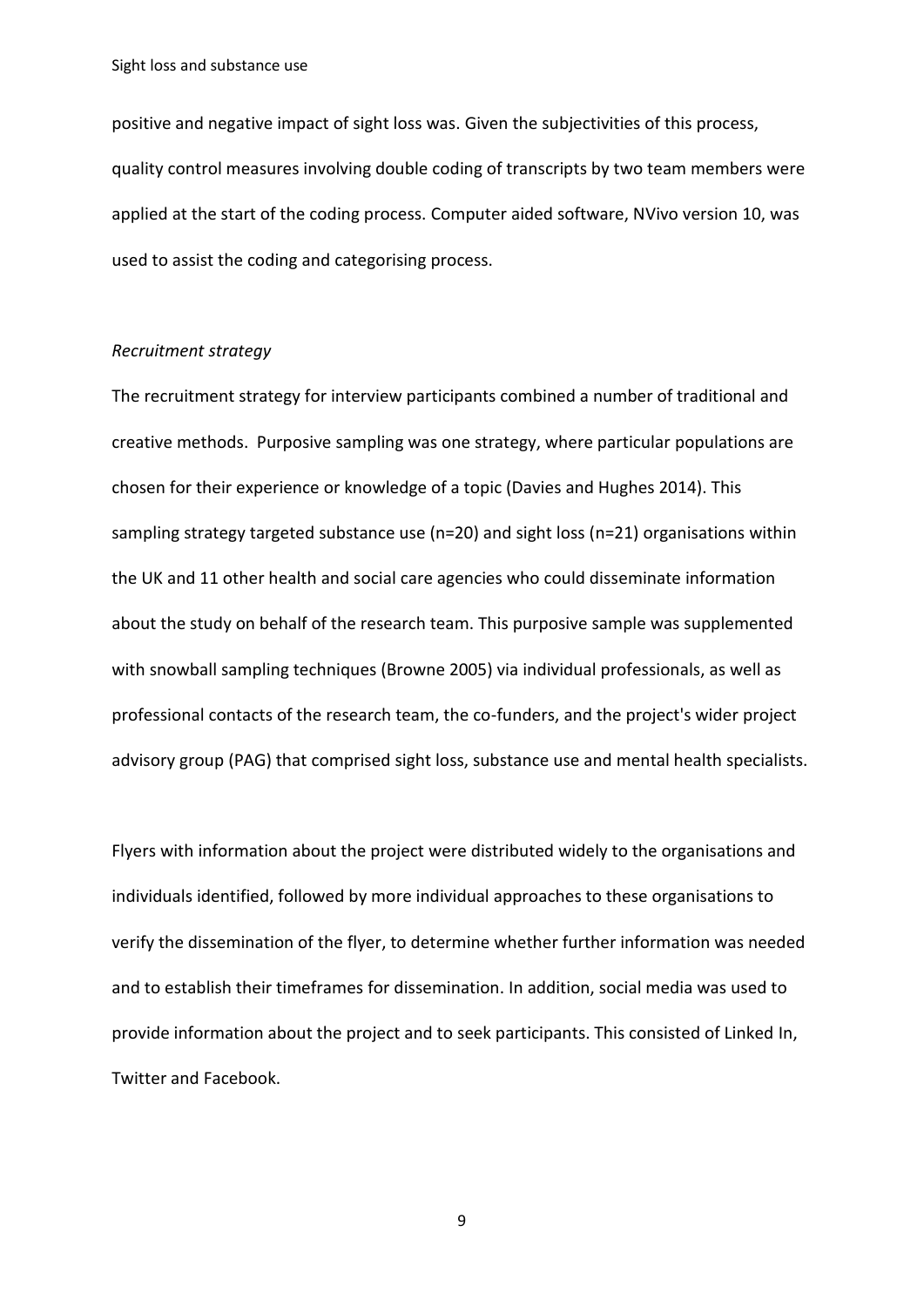positive and negative impact of sight loss was. Given the subjectivities of this process, quality control measures involving double coding of transcripts by two team members were applied at the start of the coding process. Computer aided software, NVivo version 10, was used to assist the coding and categorising process.

#### *Recruitment strategy*

The recruitment strategy for interview participants combined a number of traditional and creative methods. Purposive sampling was one strategy, where particular populations are chosen for their experience or knowledge of a topic (Davies and Hughes 2014). This sampling strategy targeted substance use (n=20) and sight loss (n=21) organisations within the UK and 11 other health and social care agencies who could disseminate information about the study on behalf of the research team. This purposive sample was supplemented with snowball sampling techniques (Browne 2005) via individual professionals, as well as professional contacts of the research team, the co-funders, and the project's wider project advisory group (PAG) that comprised sight loss, substance use and mental health specialists.

Flyers with information about the project were distributed widely to the organisations and individuals identified, followed by more individual approaches to these organisations to verify the dissemination of the flyer, to determine whether further information was needed and to establish their timeframes for dissemination. In addition, social media was used to provide information about the project and to seek participants. This consisted of Linked In, Twitter and Facebook.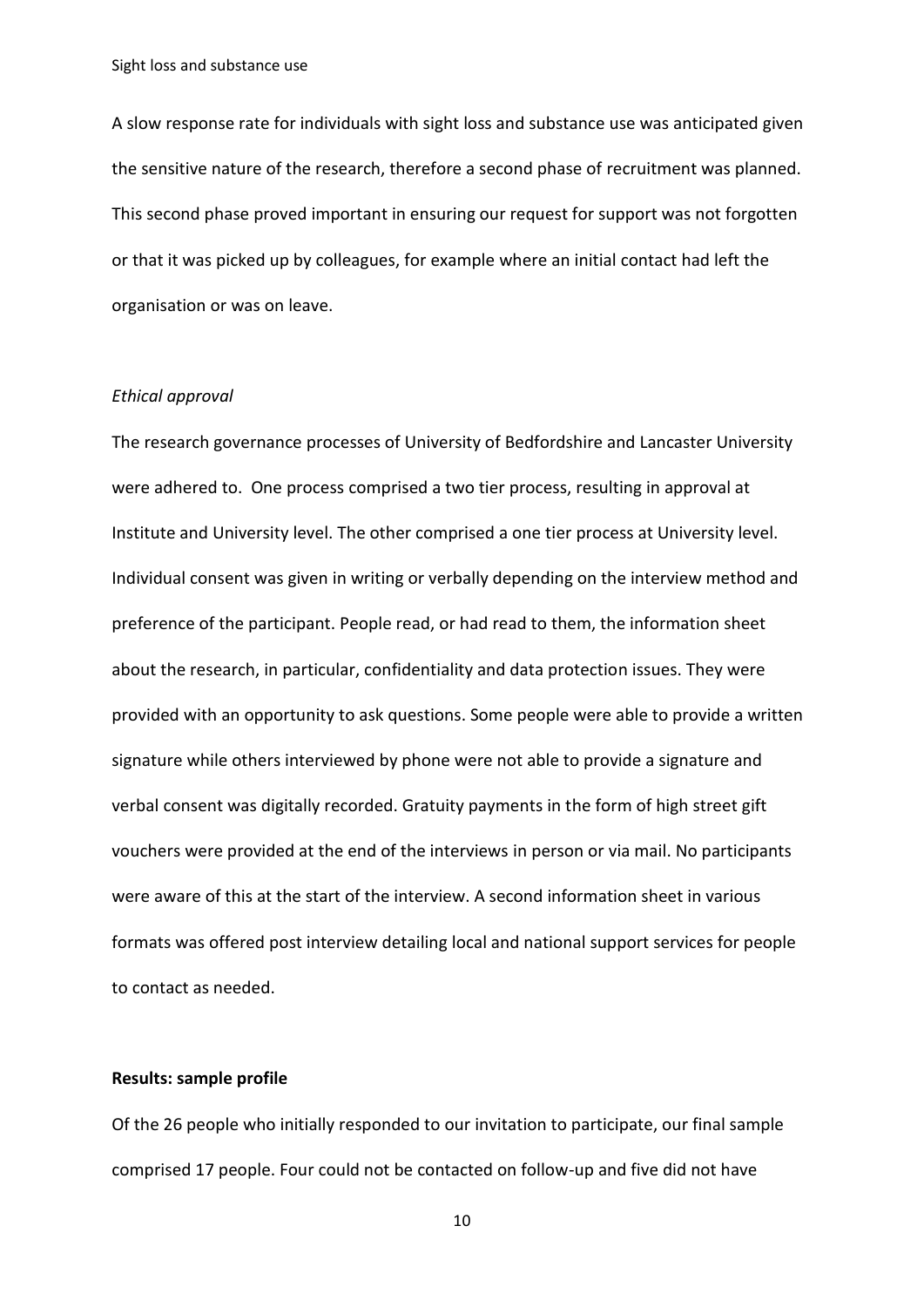A slow response rate for individuals with sight loss and substance use was anticipated given the sensitive nature of the research, therefore a second phase of recruitment was planned. This second phase proved important in ensuring our request for support was not forgotten or that it was picked up by colleagues, for example where an initial contact had left the organisation or was on leave.

#### *Ethical approval*

The research governance processes of University of Bedfordshire and Lancaster University were adhered to. One process comprised a two tier process, resulting in approval at Institute and University level. The other comprised a one tier process at University level. Individual consent was given in writing or verbally depending on the interview method and preference of the participant. People read, or had read to them, the information sheet about the research, in particular, confidentiality and data protection issues. They were provided with an opportunity to ask questions. Some people were able to provide a written signature while others interviewed by phone were not able to provide a signature and verbal consent was digitally recorded. Gratuity payments in the form of high street gift vouchers were provided at the end of the interviews in person or via mail. No participants were aware of this at the start of the interview. A second information sheet in various formats was offered post interview detailing local and national support services for people to contact as needed.

#### **Results: sample profile**

Of the 26 people who initially responded to our invitation to participate, our final sample comprised 17 people. Four could not be contacted on follow-up and five did not have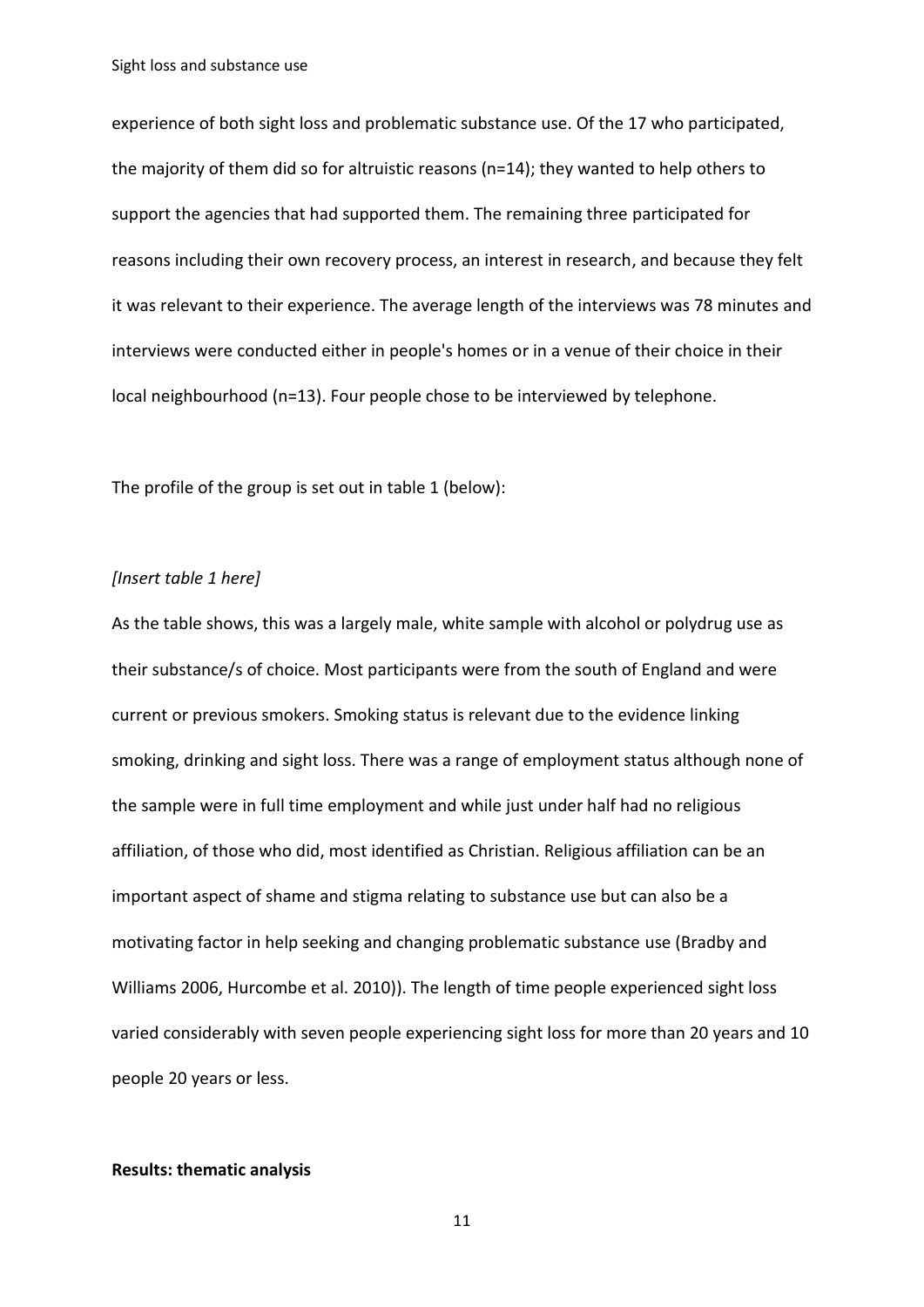experience of both sight loss and problematic substance use. Of the 17 who participated, the majority of them did so for altruistic reasons (n=14); they wanted to help others to support the agencies that had supported them. The remaining three participated for reasons including their own recovery process, an interest in research, and because they felt it was relevant to their experience. The average length of the interviews was 78 minutes and interviews were conducted either in people's homes or in a venue of their choice in their local neighbourhood (n=13). Four people chose to be interviewed by telephone.

The profile of the group is set out in table 1 (below):

#### *[Insert table 1 here]*

As the table shows, this was a largely male, white sample with alcohol or polydrug use as their substance/s of choice. Most participants were from the south of England and were current or previous smokers. Smoking status is relevant due to the evidence linking smoking, drinking and sight loss. There was a range of employment status although none of the sample were in full time employment and while just under half had no religious affiliation, of those who did, most identified as Christian. Religious affiliation can be an important aspect of shame and stigma relating to substance use but can also be a motivating factor in help seeking and changing problematic substance use (Bradby and Williams 2006, Hurcombe et al. 2010)). The length of time people experienced sight loss varied considerably with seven people experiencing sight loss for more than 20 years and 10 people 20 years or less.

### **Results: thematic analysis**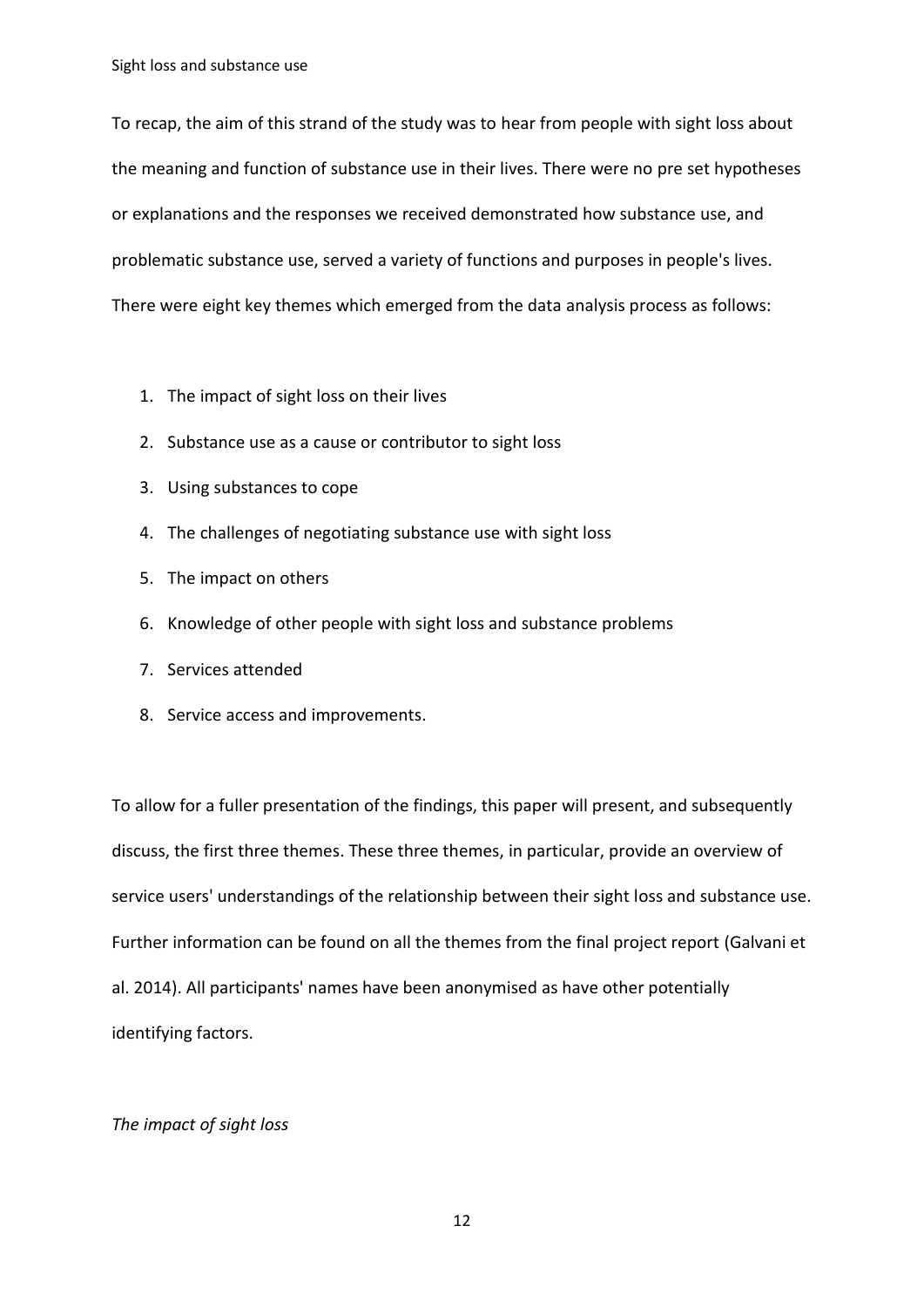To recap, the aim of this strand of the study was to hear from people with sight loss about the meaning and function of substance use in their lives. There were no pre set hypotheses or explanations and the responses we received demonstrated how substance use, and problematic substance use, served a variety of functions and purposes in people's lives. There were eight key themes which emerged from the data analysis process as follows:

- 1. The impact of sight loss on their lives
- 2. Substance use as a cause or contributor to sight loss
- 3. Using substances to cope
- 4. The challenges of negotiating substance use with sight loss
- 5. The impact on others
- 6. Knowledge of other people with sight loss and substance problems
- 7. Services attended
- 8. Service access and improvements.

To allow for a fuller presentation of the findings, this paper will present, and subsequently discuss, the first three themes. These three themes, in particular, provide an overview of service users' understandings of the relationship between their sight loss and substance use. Further information can be found on all the themes from the final project report (Galvani et al. 2014). All participants' names have been anonymised as have other potentially identifying factors.

#### *The impact of sight loss*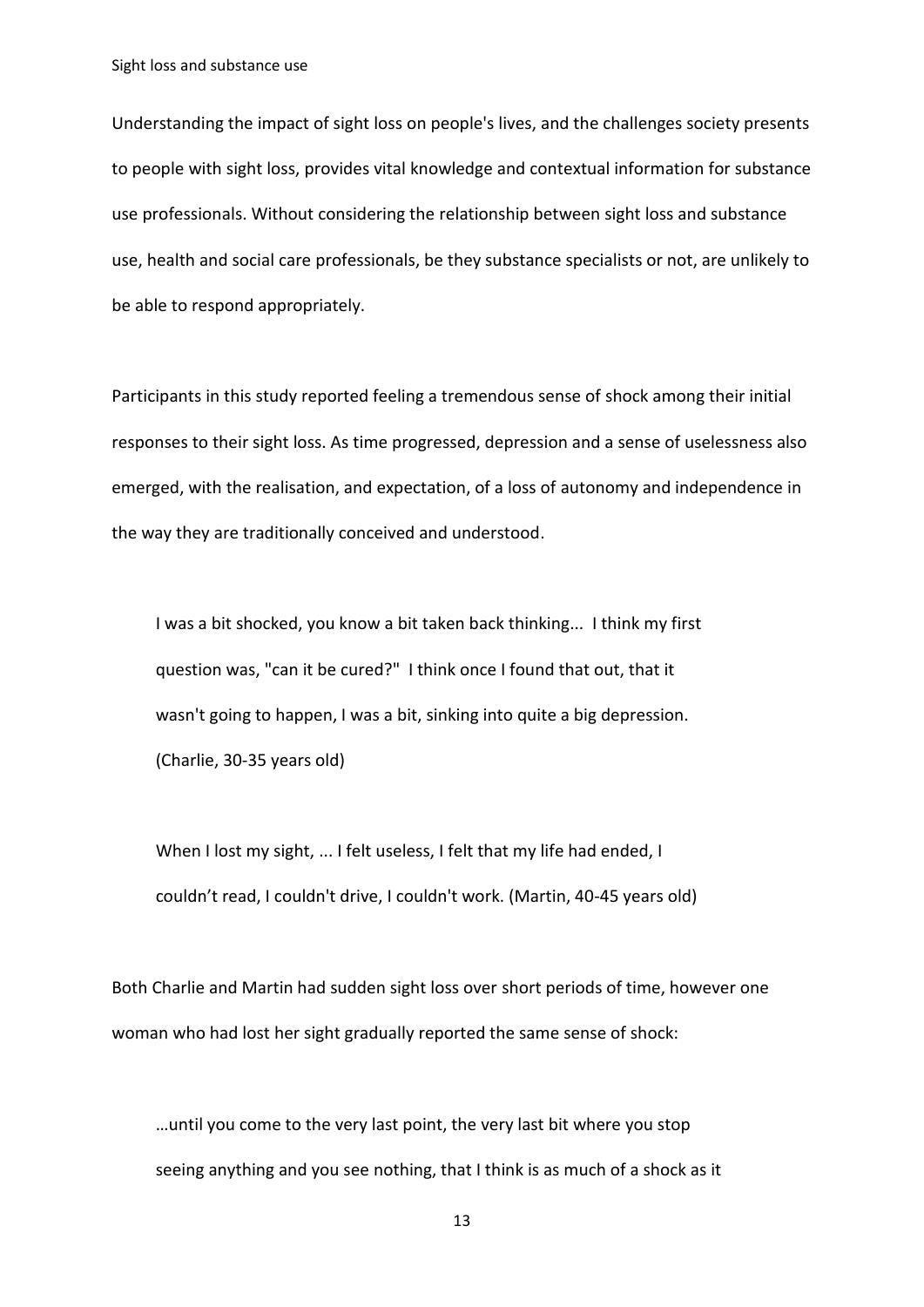Understanding the impact of sight loss on people's lives, and the challenges society presents to people with sight loss, provides vital knowledge and contextual information for substance use professionals. Without considering the relationship between sight loss and substance use, health and social care professionals, be they substance specialists or not, are unlikely to be able to respond appropriately.

Participants in this study reported feeling a tremendous sense of shock among their initial responses to their sight loss. As time progressed, depression and a sense of uselessness also emerged, with the realisation, and expectation, of a loss of autonomy and independence in the way they are traditionally conceived and understood.

I was a bit shocked, you know a bit taken back thinking... I think my first question was, "can it be cured?" I think once I found that out, that it wasn't going to happen, I was a bit, sinking into quite a big depression. (Charlie, 30-35 years old)

When I lost my sight, ... I felt useless, I felt that my life had ended, I couldn't read, I couldn't drive, I couldn't work. (Martin, 40-45 years old)

Both Charlie and Martin had sudden sight loss over short periods of time, however one woman who had lost her sight gradually reported the same sense of shock:

…until you come to the very last point, the very last bit where you stop seeing anything and you see nothing, that I think is as much of a shock as it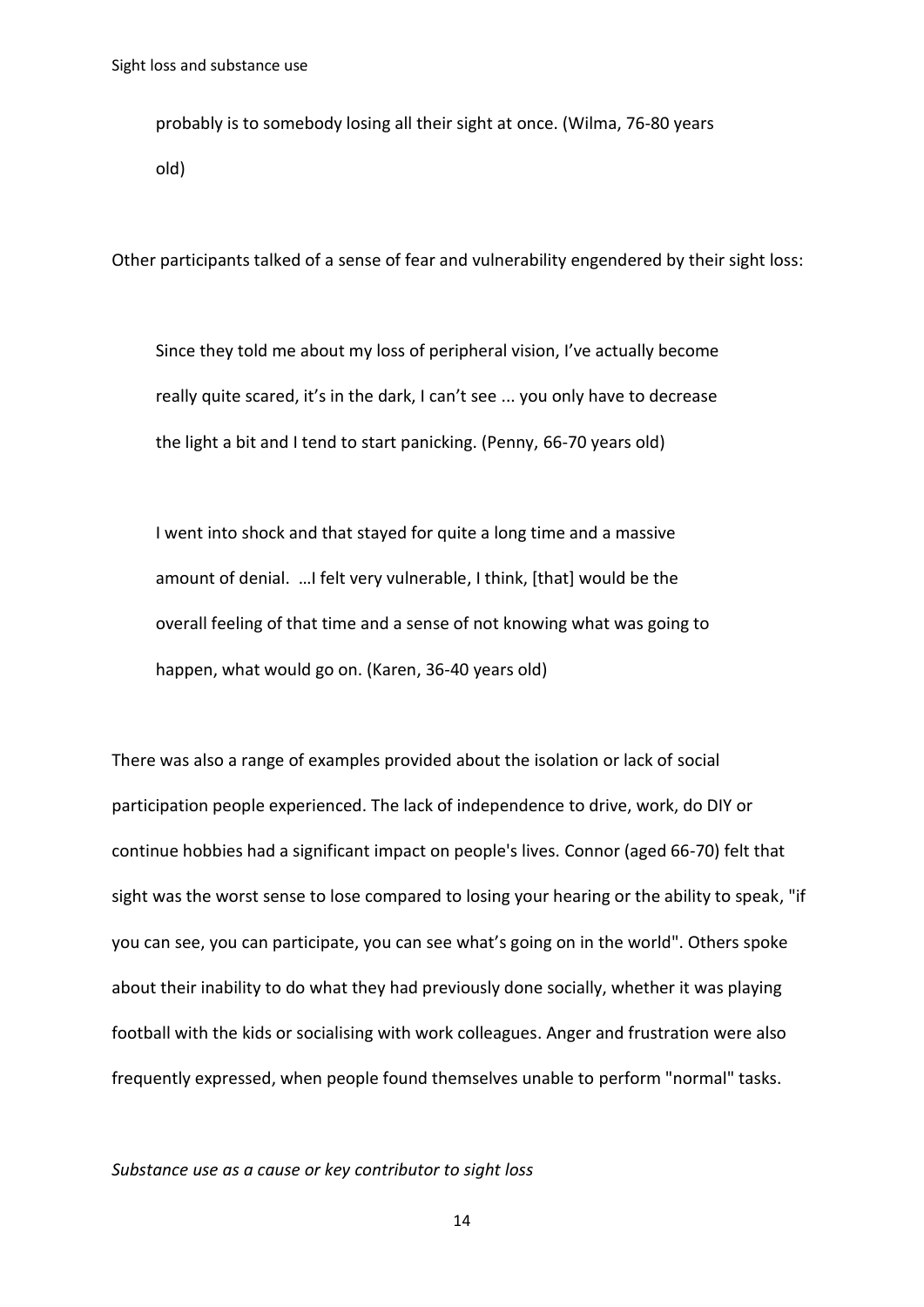probably is to somebody losing all their sight at once. (Wilma, 76-80 years old)

Other participants talked of a sense of fear and vulnerability engendered by their sight loss:

Since they told me about my loss of peripheral vision, I've actually become really quite scared, it's in the dark, I can't see ... you only have to decrease the light a bit and I tend to start panicking. (Penny, 66-70 years old)

I went into shock and that stayed for quite a long time and a massive amount of denial. …I felt very vulnerable, I think, [that] would be the overall feeling of that time and a sense of not knowing what was going to happen, what would go on. (Karen, 36-40 years old)

There was also a range of examples provided about the isolation or lack of social participation people experienced. The lack of independence to drive, work, do DIY or continue hobbies had a significant impact on people's lives. Connor (aged 66-70) felt that sight was the worst sense to lose compared to losing your hearing or the ability to speak, "if you can see, you can participate, you can see what's going on in the world". Others spoke about their inability to do what they had previously done socially, whether it was playing football with the kids or socialising with work colleagues. Anger and frustration were also frequently expressed, when people found themselves unable to perform "normal" tasks.

*Substance use as a cause or key contributor to sight loss*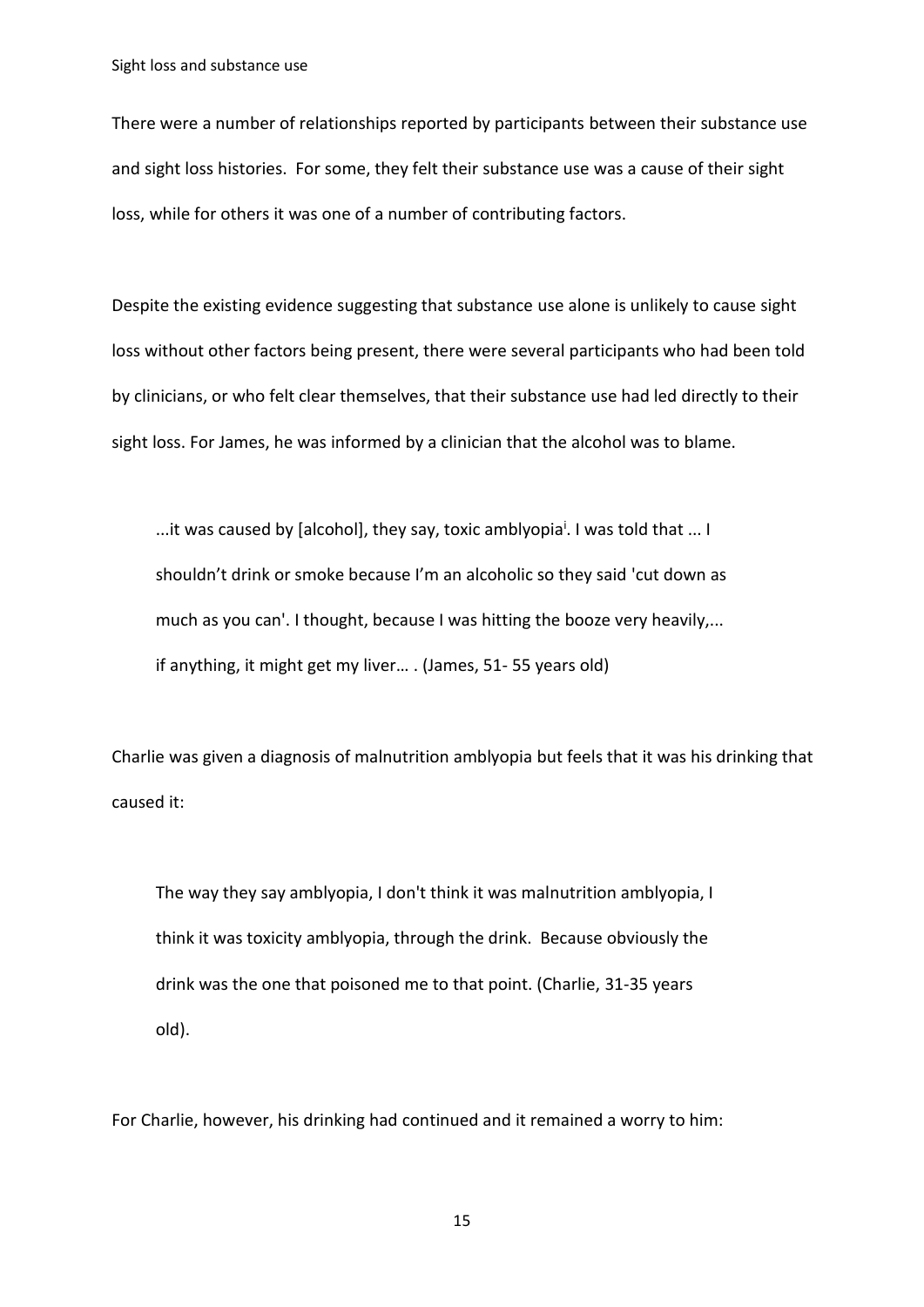There were a number of relationships reported by participants between their substance use and sight loss histories. For some, they felt their substance use was a cause of their sight loss, while for others it was one of a number of contributing factors.

Despite the existing evidence suggesting that substance use alone is unlikely to cause sight loss without other factors being present, there were several participants who had been told by clinicians, or who felt clear themselves, that their substance use had led directly to their sight loss. For James, he was informed by a clinician that the alcohol was to blame.

...it was caused by [alcohol], they say, toxic amblyopia<sup>i</sup>. I was told that ... I shouldn't drink or smoke because I'm an alcoholic so they said 'cut down as much as you can'. I thought, because I was hitting the booze very heavily,... if anything, it might get my liver… . (James, 51- 55 years old)

Charlie was given a diagnosis of malnutrition amblyopia but feels that it was his drinking that caused it:

The way they say amblyopia, I don't think it was malnutrition amblyopia, I think it was toxicity amblyopia, through the drink. Because obviously the drink was the one that poisoned me to that point. (Charlie, 31-35 years old).

For Charlie, however, his drinking had continued and it remained a worry to him: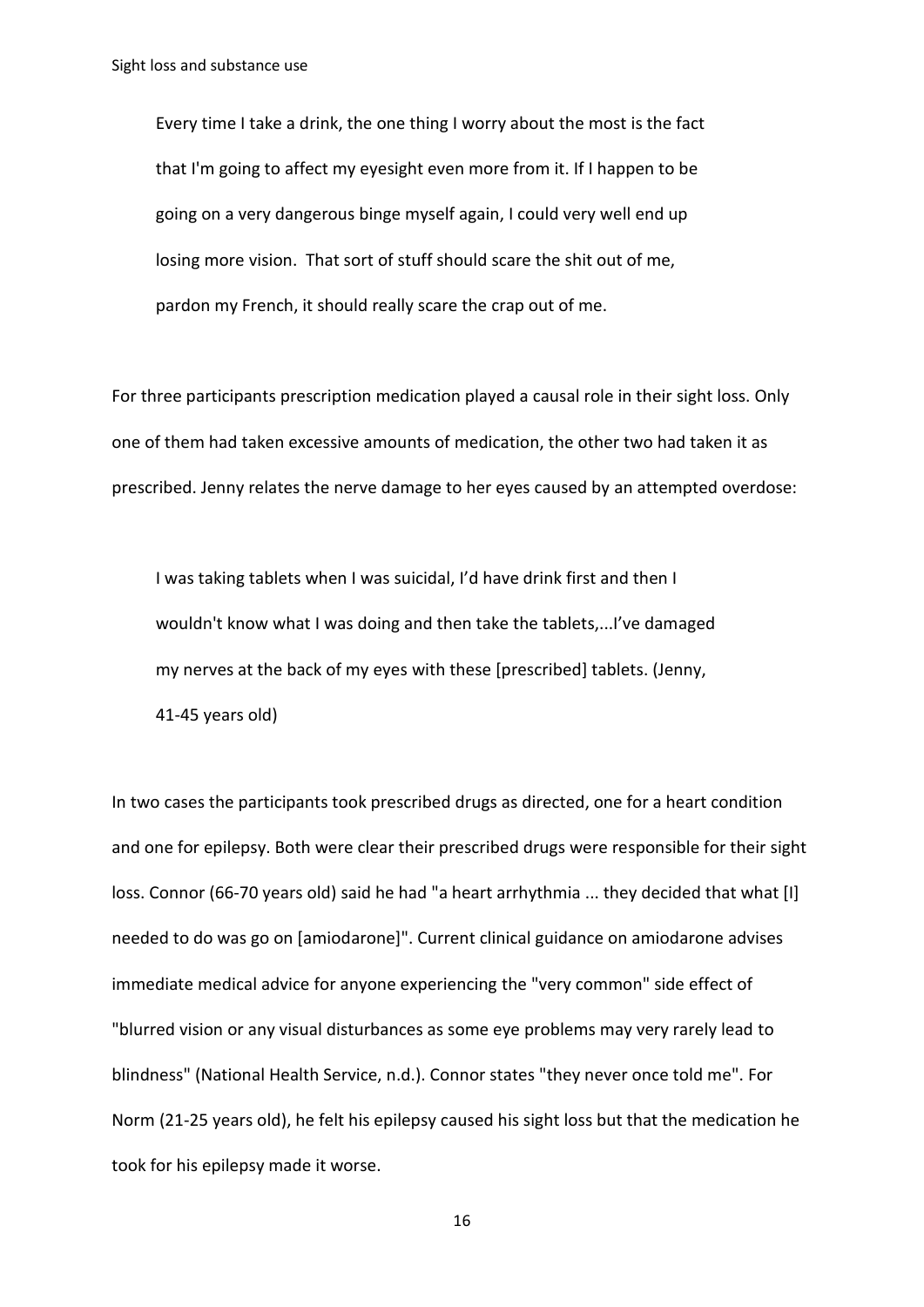Every time I take a drink, the one thing I worry about the most is the fact that I'm going to affect my eyesight even more from it. If I happen to be going on a very dangerous binge myself again, I could very well end up losing more vision. That sort of stuff should scare the shit out of me, pardon my French, it should really scare the crap out of me.

For three participants prescription medication played a causal role in their sight loss. Only one of them had taken excessive amounts of medication, the other two had taken it as prescribed. Jenny relates the nerve damage to her eyes caused by an attempted overdose:

I was taking tablets when I was suicidal, I'd have drink first and then I wouldn't know what I was doing and then take the tablets,...I've damaged my nerves at the back of my eyes with these [prescribed] tablets. (Jenny, 41-45 years old)

In two cases the participants took prescribed drugs as directed, one for a heart condition and one for epilepsy. Both were clear their prescribed drugs were responsible for their sight loss. Connor (66-70 years old) said he had "a heart arrhythmia ... they decided that what [I] needed to do was go on [amiodarone]". Current clinical guidance on amiodarone advises immediate medical advice for anyone experiencing the "very common" side effect of "blurred vision or any visual disturbances as some eye problems may very rarely lead to blindness" (National Health Service, n.d.). Connor states "they never once told me". For Norm (21-25 years old), he felt his epilepsy caused his sight loss but that the medication he took for his epilepsy made it worse.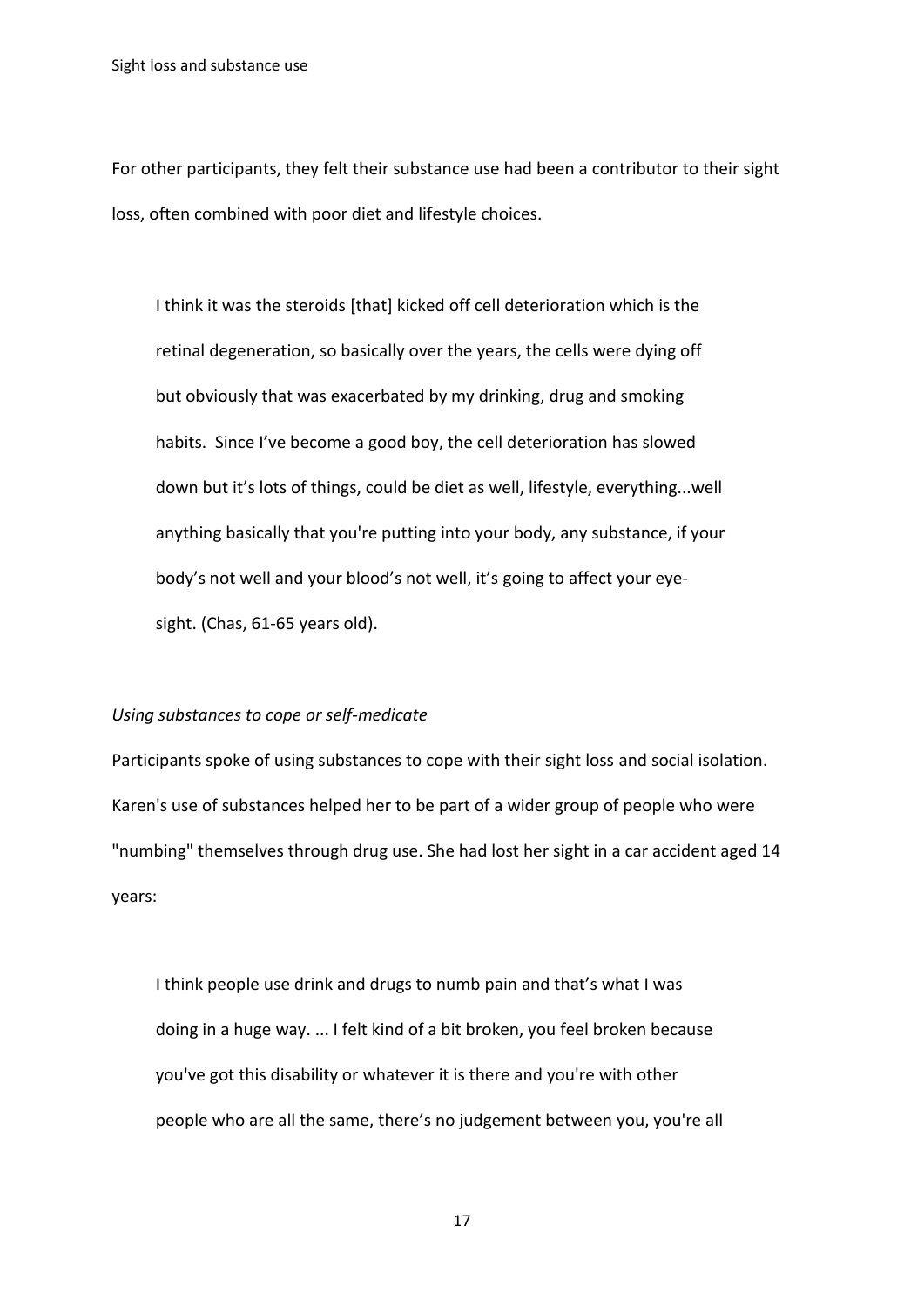For other participants, they felt their substance use had been a contributor to their sight loss, often combined with poor diet and lifestyle choices.

I think it was the steroids [that] kicked off cell deterioration which is the retinal degeneration, so basically over the years, the cells were dying off but obviously that was exacerbated by my drinking, drug and smoking habits. Since I've become a good boy, the cell deterioration has slowed down but it's lots of things, could be diet as well, lifestyle, everything...well anything basically that you're putting into your body, any substance, if your body's not well and your blood's not well, it's going to affect your eyesight. (Chas, 61-65 years old).

#### *Using substances to cope or self-medicate*

Participants spoke of using substances to cope with their sight loss and social isolation. Karen's use of substances helped her to be part of a wider group of people who were "numbing" themselves through drug use. She had lost her sight in a car accident aged 14 years:

I think people use drink and drugs to numb pain and that's what I was doing in a huge way. ... I felt kind of a bit broken, you feel broken because you've got this disability or whatever it is there and you're with other people who are all the same, there's no judgement between you, you're all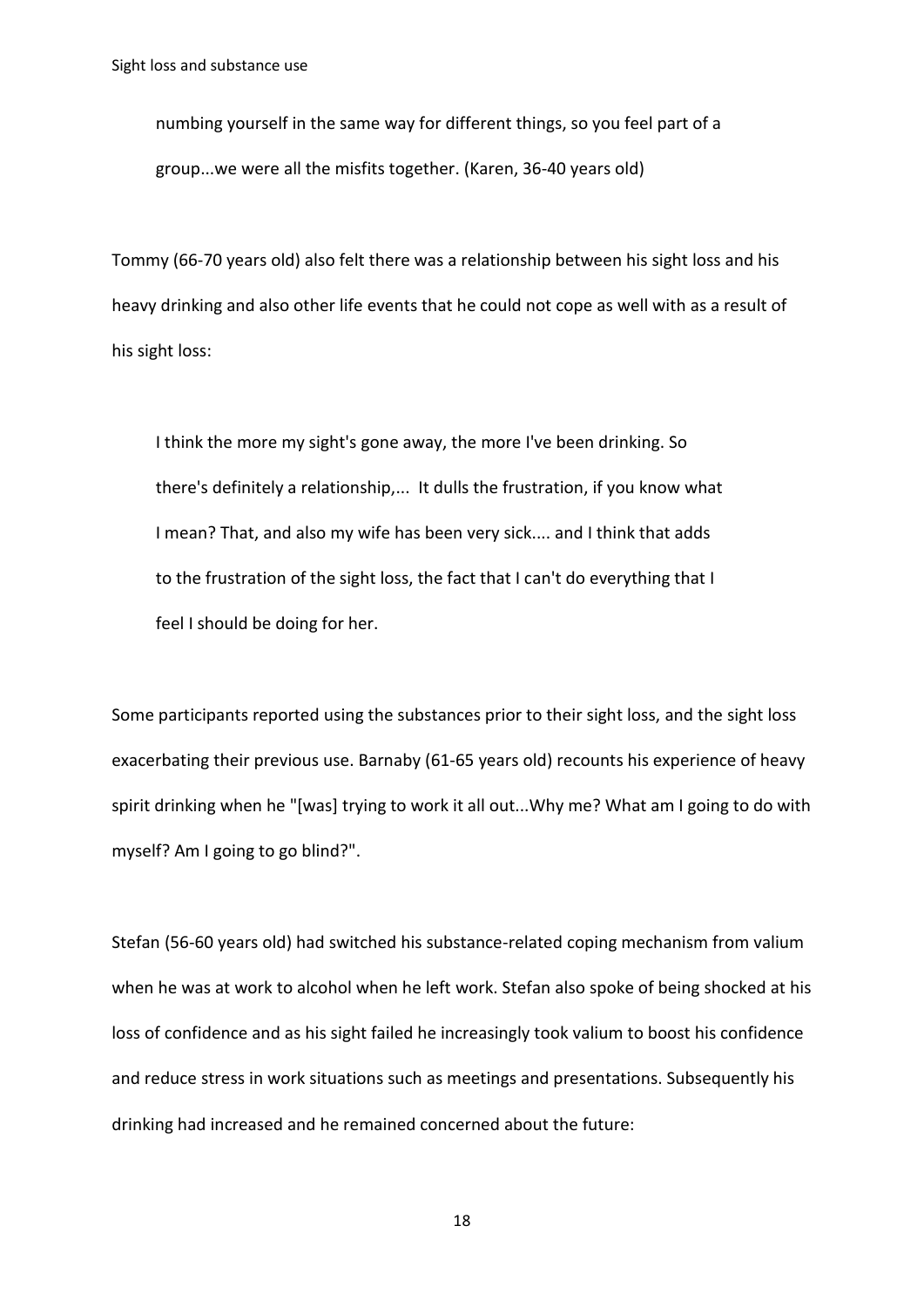numbing yourself in the same way for different things, so you feel part of a group...we were all the misfits together. (Karen, 36-40 years old)

Tommy (66-70 years old) also felt there was a relationship between his sight loss and his heavy drinking and also other life events that he could not cope as well with as a result of his sight loss:

I think the more my sight's gone away, the more I've been drinking. So there's definitely a relationship,... It dulls the frustration, if you know what I mean? That, and also my wife has been very sick.... and I think that adds to the frustration of the sight loss, the fact that I can't do everything that I feel I should be doing for her.

Some participants reported using the substances prior to their sight loss, and the sight loss exacerbating their previous use. Barnaby (61-65 years old) recounts his experience of heavy spirit drinking when he "[was] trying to work it all out...Why me? What am I going to do with myself? Am I going to go blind?".

Stefan (56-60 years old) had switched his substance-related coping mechanism from valium when he was at work to alcohol when he left work. Stefan also spoke of being shocked at his loss of confidence and as his sight failed he increasingly took valium to boost his confidence and reduce stress in work situations such as meetings and presentations. Subsequently his drinking had increased and he remained concerned about the future: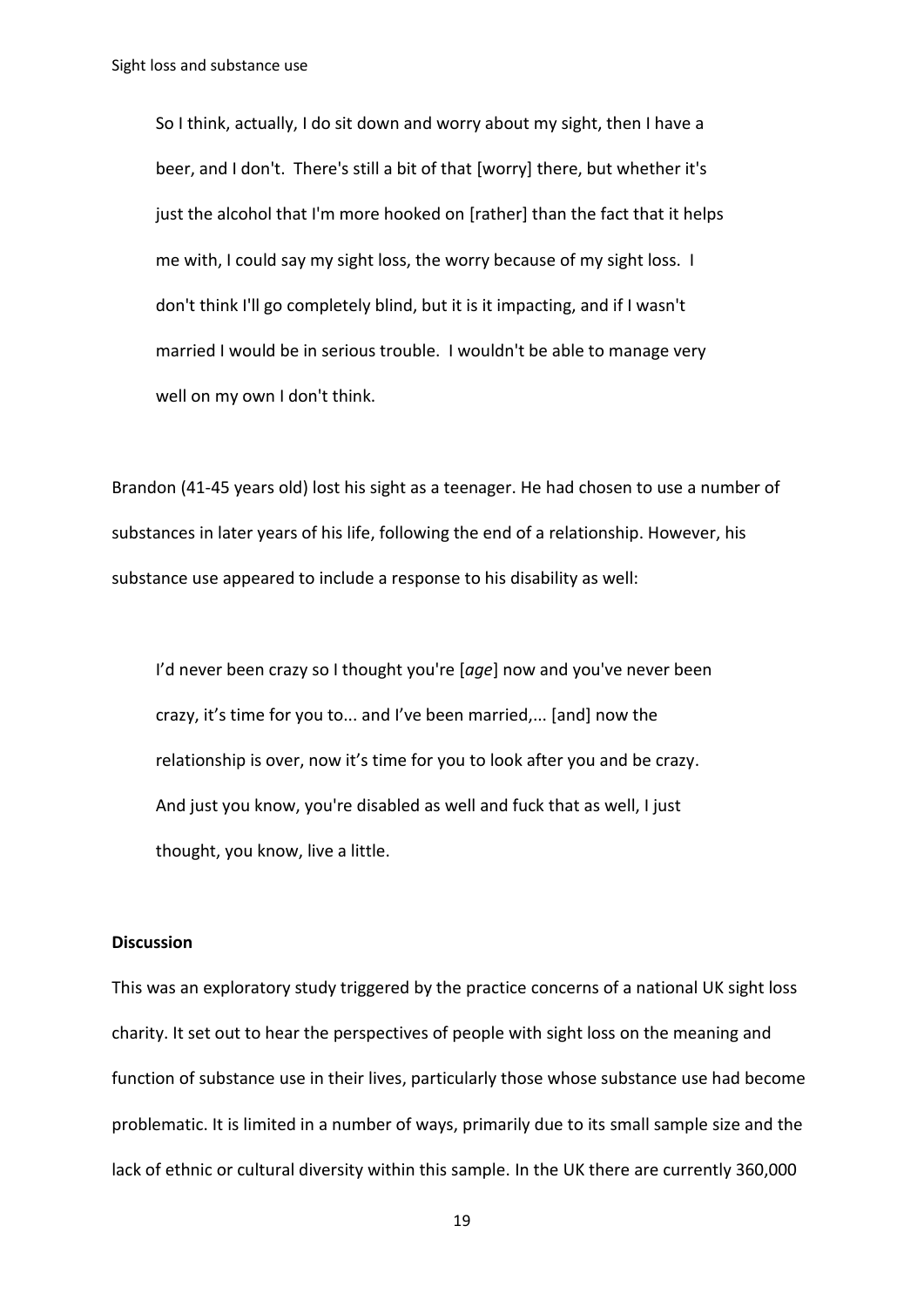So I think, actually, I do sit down and worry about my sight, then I have a beer, and I don't. There's still a bit of that [worry] there, but whether it's just the alcohol that I'm more hooked on [rather] than the fact that it helps me with, I could say my sight loss, the worry because of my sight loss. I don't think I'll go completely blind, but it is it impacting, and if I wasn't married I would be in serious trouble. I wouldn't be able to manage very well on my own I don't think.

Brandon (41-45 years old) lost his sight as a teenager. He had chosen to use a number of substances in later years of his life, following the end of a relationship. However, his substance use appeared to include a response to his disability as well:

I'd never been crazy so I thought you're [*age*] now and you've never been crazy, it's time for you to... and I've been married,... [and] now the relationship is over, now it's time for you to look after you and be crazy. And just you know, you're disabled as well and fuck that as well, I just thought, you know, live a little.

# **Discussion**

This was an exploratory study triggered by the practice concerns of a national UK sight loss charity. It set out to hear the perspectives of people with sight loss on the meaning and function of substance use in their lives, particularly those whose substance use had become problematic. It is limited in a number of ways, primarily due to its small sample size and the lack of ethnic or cultural diversity within this sample. In the UK there are currently 360,000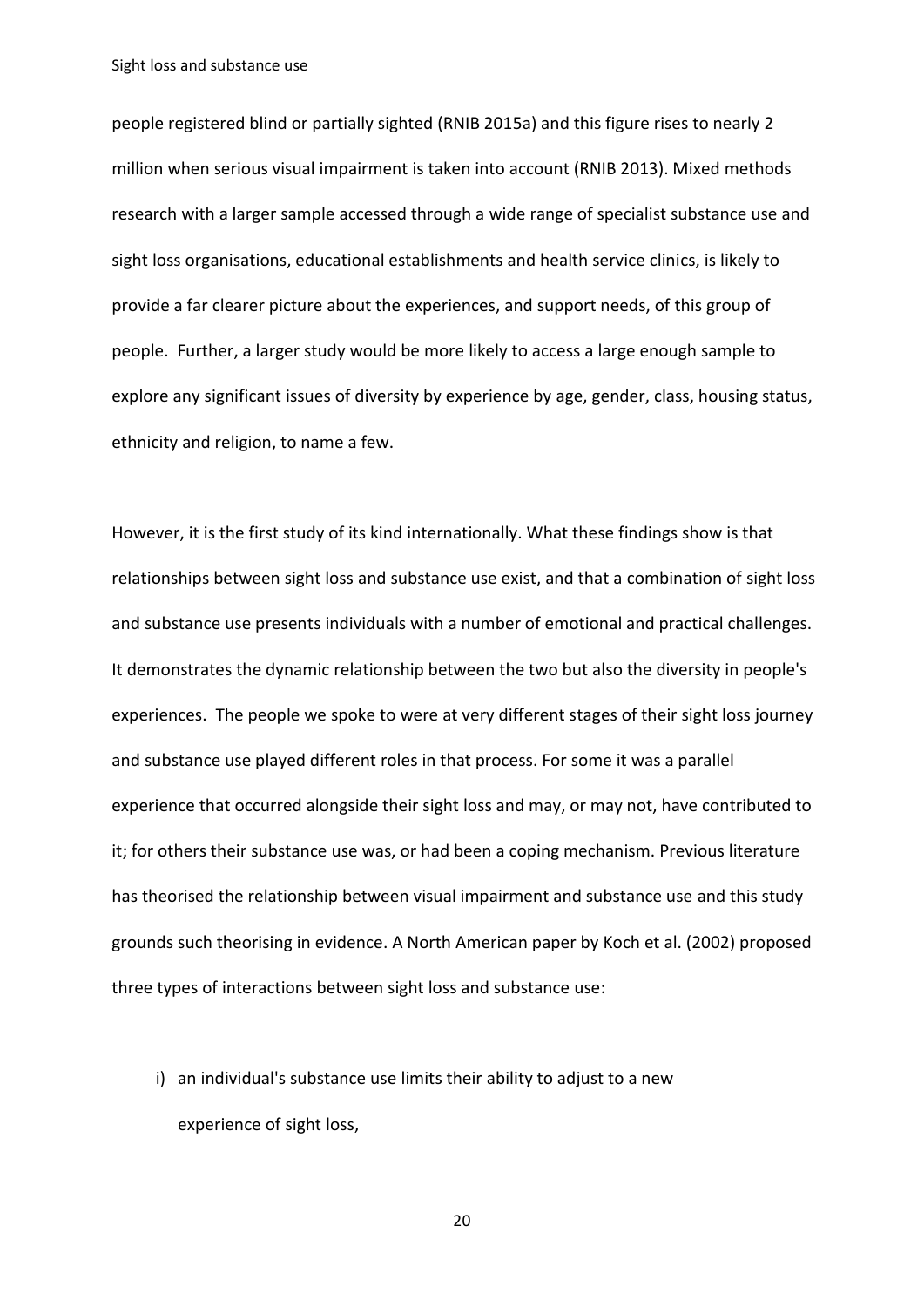people registered blind or partially sighted (RNIB 2015a) and this figure rises to nearly 2 million when serious visual impairment is taken into account (RNIB 2013). Mixed methods research with a larger sample accessed through a wide range of specialist substance use and sight loss organisations, educational establishments and health service clinics, is likely to provide a far clearer picture about the experiences, and support needs, of this group of people. Further, a larger study would be more likely to access a large enough sample to explore any significant issues of diversity by experience by age, gender, class, housing status, ethnicity and religion, to name a few.

However, it is the first study of its kind internationally. What these findings show is that relationships between sight loss and substance use exist, and that a combination of sight loss and substance use presents individuals with a number of emotional and practical challenges. It demonstrates the dynamic relationship between the two but also the diversity in people's experiences. The people we spoke to were at very different stages of their sight loss journey and substance use played different roles in that process. For some it was a parallel experience that occurred alongside their sight loss and may, or may not, have contributed to it; for others their substance use was, or had been a coping mechanism. Previous literature has theorised the relationship between visual impairment and substance use and this study grounds such theorising in evidence. A North American paper by Koch et al. (2002) proposed three types of interactions between sight loss and substance use:

i) an individual's substance use limits their ability to adjust to a new experience of sight loss,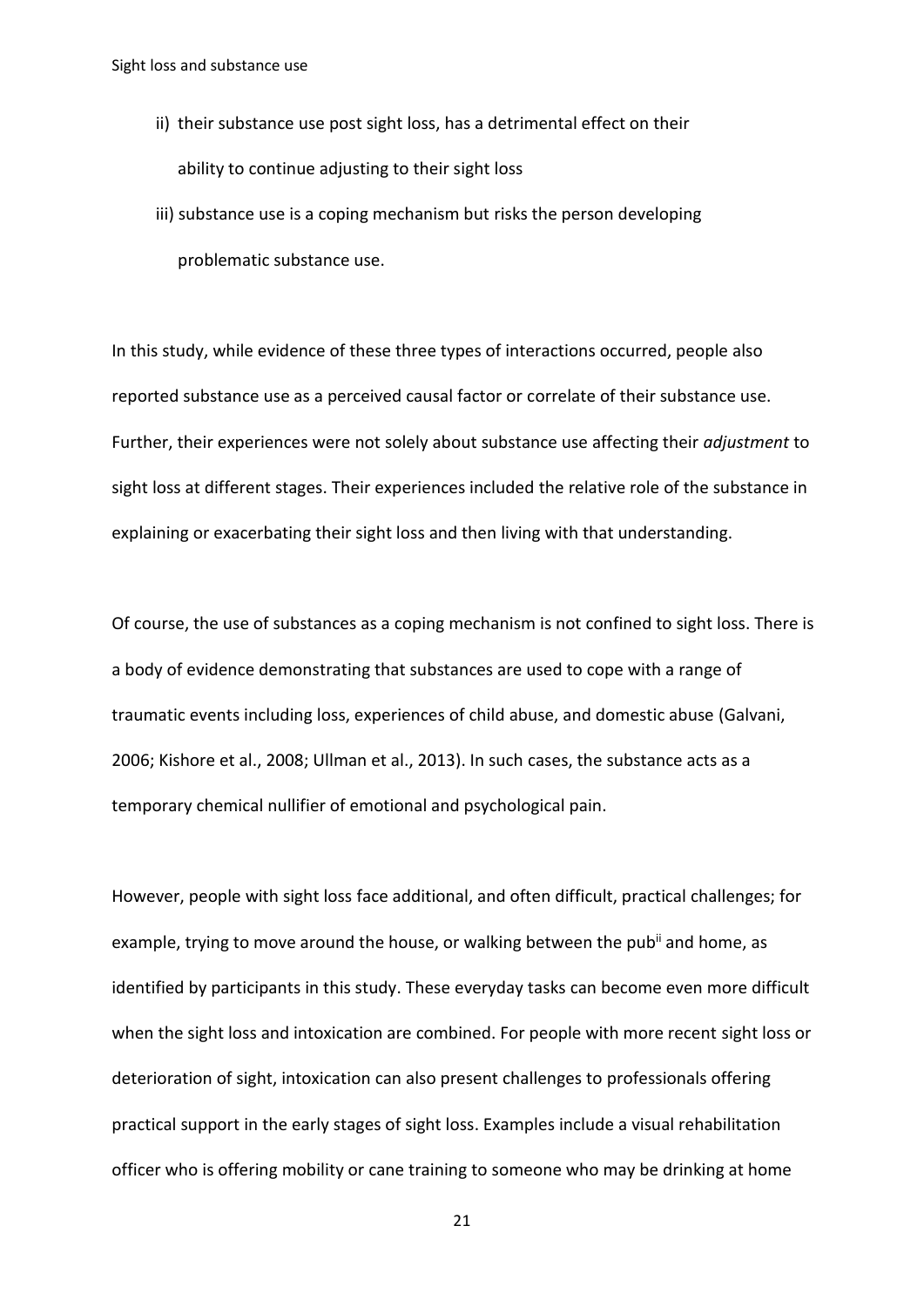- ii) their substance use post sight loss, has a detrimental effect on their ability to continue adjusting to their sight loss
- iii) substance use is a coping mechanism but risks the person developing problematic substance use.

In this study, while evidence of these three types of interactions occurred, people also reported substance use as a perceived causal factor or correlate of their substance use. Further, their experiences were not solely about substance use affecting their *adjustment* to sight loss at different stages. Their experiences included the relative role of the substance in explaining or exacerbating their sight loss and then living with that understanding.

Of course, the use of substances as a coping mechanism is not confined to sight loss. There is a body of evidence demonstrating that substances are used to cope with a range of traumatic events including loss, experiences of child abuse, and domestic abuse (Galvani, 2006; Kishore et al., 2008; Ullman et al., 2013). In such cases, the substance acts as a temporary chemical nullifier of emotional and psychological pain.

However, people with sight loss face additional, and often difficult, practical challenges; for example, trying to move around the house, or walking between the pub<sup>ii</sup> and home, as identified by participants in this study. These everyday tasks can become even more difficult when the sight loss and intoxication are combined. For people with more recent sight loss or deterioration of sight, intoxication can also present challenges to professionals offering practical support in the early stages of sight loss. Examples include a visual rehabilitation officer who is offering mobility or cane training to someone who may be drinking at home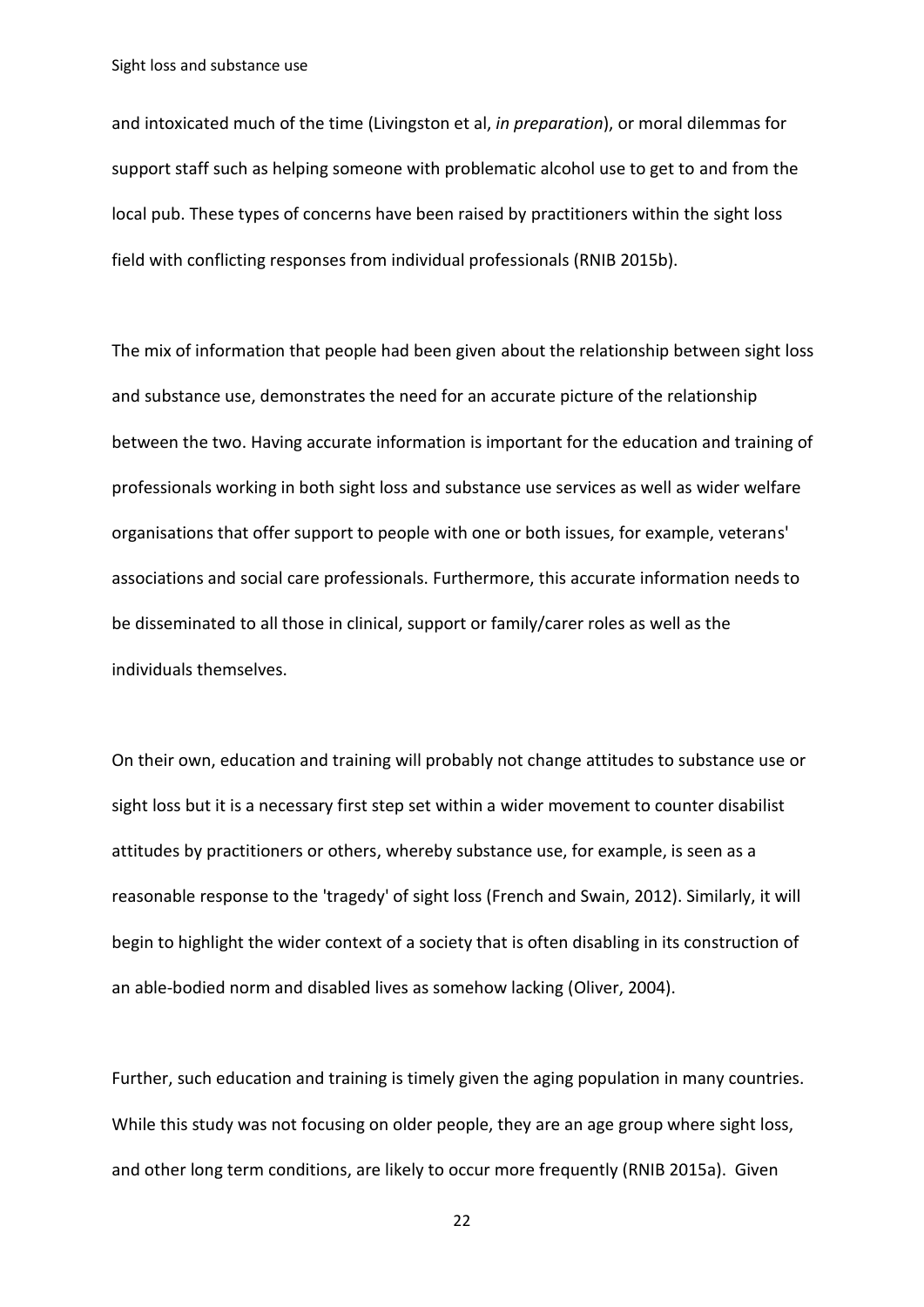and intoxicated much of the time (Livingston et al, *in preparation*), or moral dilemmas for support staff such as helping someone with problematic alcohol use to get to and from the local pub. These types of concerns have been raised by practitioners within the sight loss field with conflicting responses from individual professionals (RNIB 2015b).

The mix of information that people had been given about the relationship between sight loss and substance use, demonstrates the need for an accurate picture of the relationship between the two. Having accurate information is important for the education and training of professionals working in both sight loss and substance use services as well as wider welfare organisations that offer support to people with one or both issues, for example, veterans' associations and social care professionals. Furthermore, this accurate information needs to be disseminated to all those in clinical, support or family/carer roles as well as the individuals themselves.

On their own, education and training will probably not change attitudes to substance use or sight loss but it is a necessary first step set within a wider movement to counter disabilist attitudes by practitioners or others, whereby substance use, for example, is seen as a reasonable response to the 'tragedy' of sight loss (French and Swain, 2012). Similarly, it will begin to highlight the wider context of a society that is often disabling in its construction of an able-bodied norm and disabled lives as somehow lacking (Oliver, 2004).

Further, such education and training is timely given the aging population in many countries. While this study was not focusing on older people, they are an age group where sight loss, and other long term conditions, are likely to occur more frequently (RNIB 2015a). Given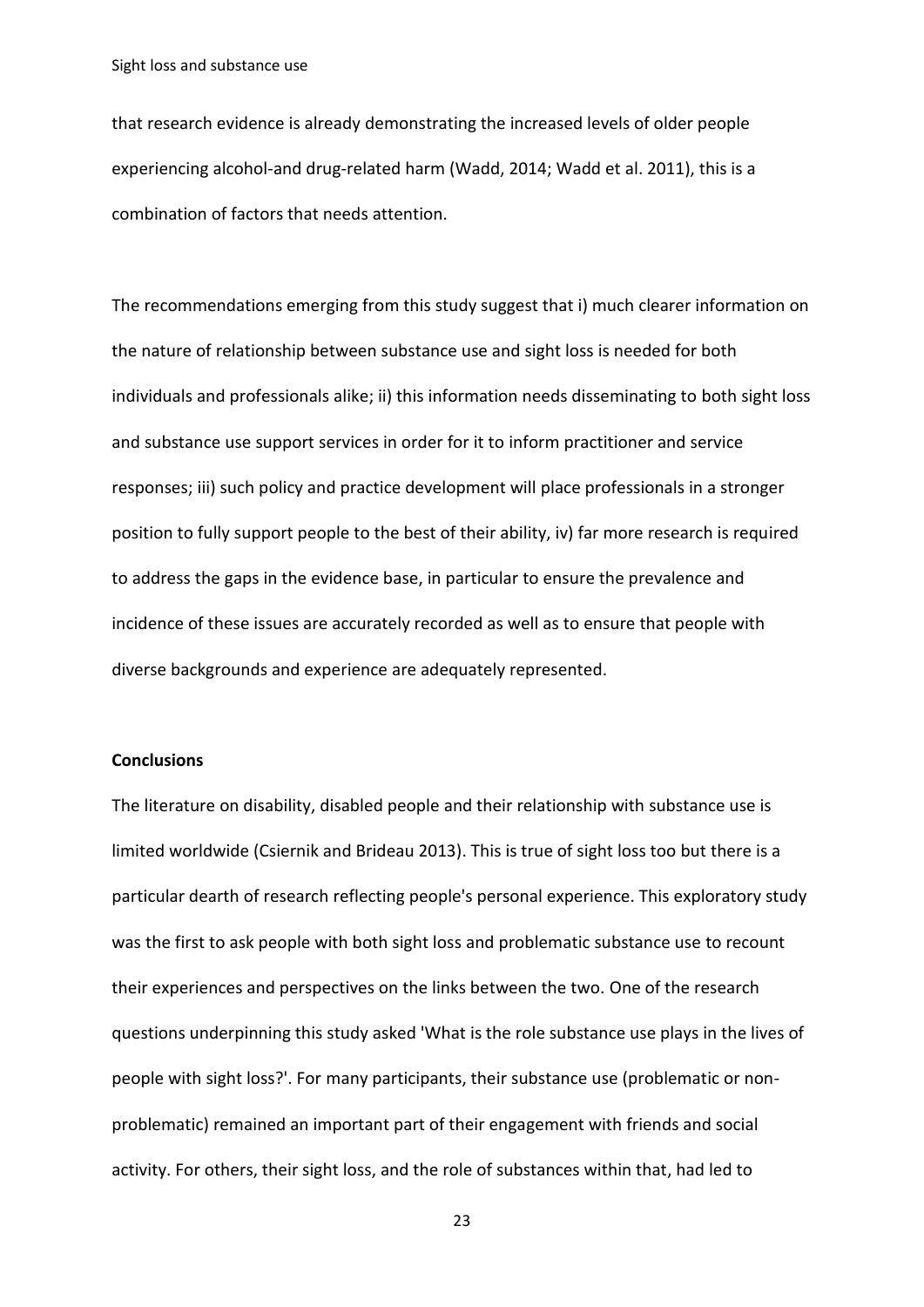that research evidence is already demonstrating the increased levels of older people experiencing alcohol-and drug-related harm (Wadd, 2014; Wadd et al. 2011), this is a combination of factors that needs attention.

The recommendations emerging from this study suggest that i) much clearer information on the nature of relationship between substance use and sight loss is needed for both individuals and professionals alike; ii) this information needs disseminating to both sight loss and substance use support services in order for it to inform practitioner and service responses; iii) such policy and practice development will place professionals in a stronger position to fully support people to the best of their ability, iv) far more research is required to address the gaps in the evidence base, in particular to ensure the prevalence and incidence of these issues are accurately recorded as well as to ensure that people with diverse backgrounds and experience are adequately represented.

#### **Conclusions**

The literature on disability, disabled people and their relationship with substance use is limited worldwide (Csiernik and Brideau 2013). This is true of sight loss too but there is a particular dearth of research reflecting people's personal experience. This exploratory study was the first to ask people with both sight loss and problematic substance use to recount their experiences and perspectives on the links between the two. One of the research questions underpinning this study asked 'What is the role substance use plays in the lives of people with sight loss?'. For many participants, their substance use (problematic or nonproblematic) remained an important part of their engagement with friends and social activity. For others, their sight loss, and the role of substances within that, had led to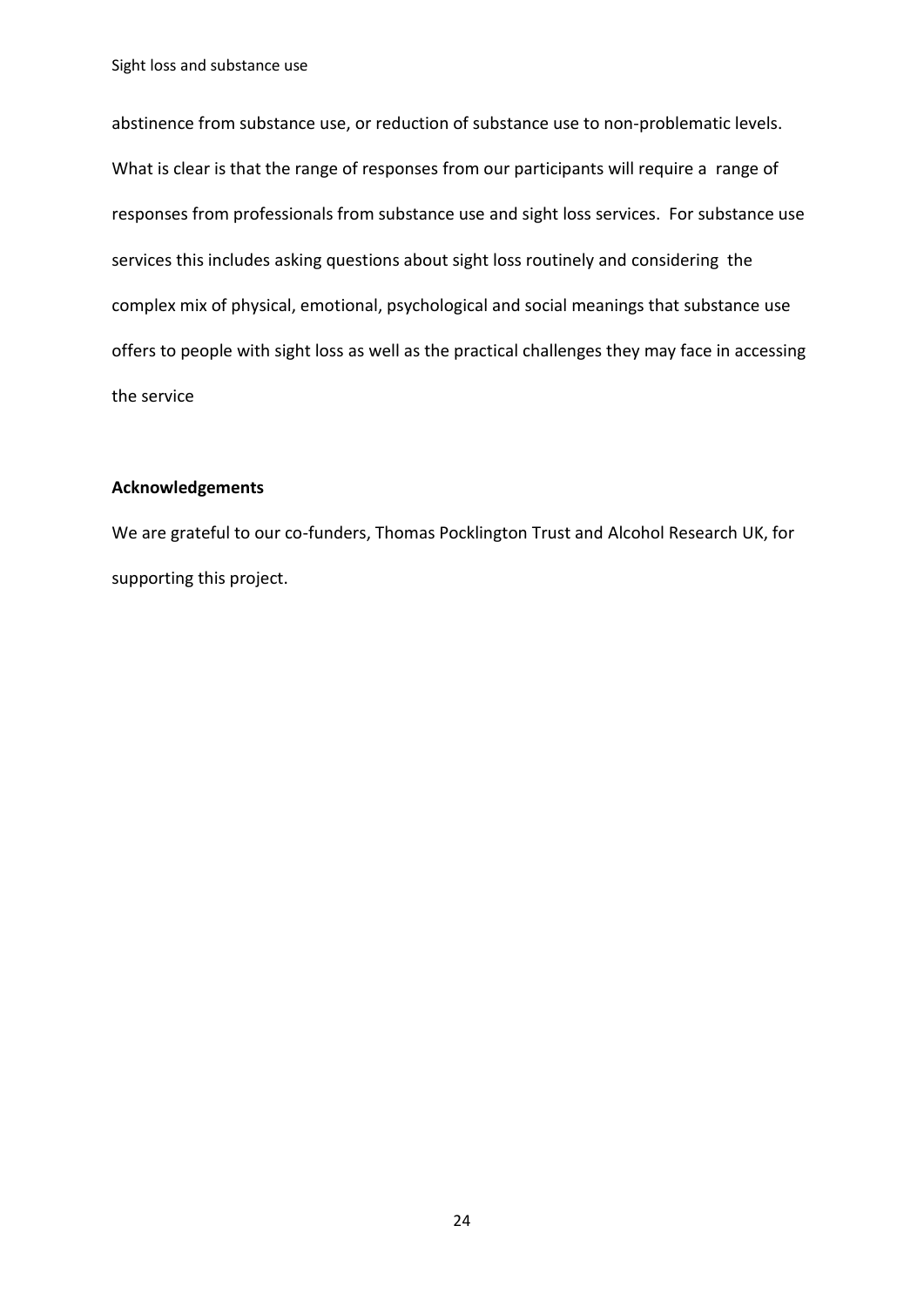abstinence from substance use, or reduction of substance use to non-problematic levels. What is clear is that the range of responses from our participants will require a range of responses from professionals from substance use and sight loss services. For substance use services this includes asking questions about sight loss routinely and considering the complex mix of physical, emotional, psychological and social meanings that substance use offers to people with sight loss as well as the practical challenges they may face in accessing the service

## **Acknowledgements**

We are grateful to our co-funders, Thomas Pocklington Trust and Alcohol Research UK, for supporting this project.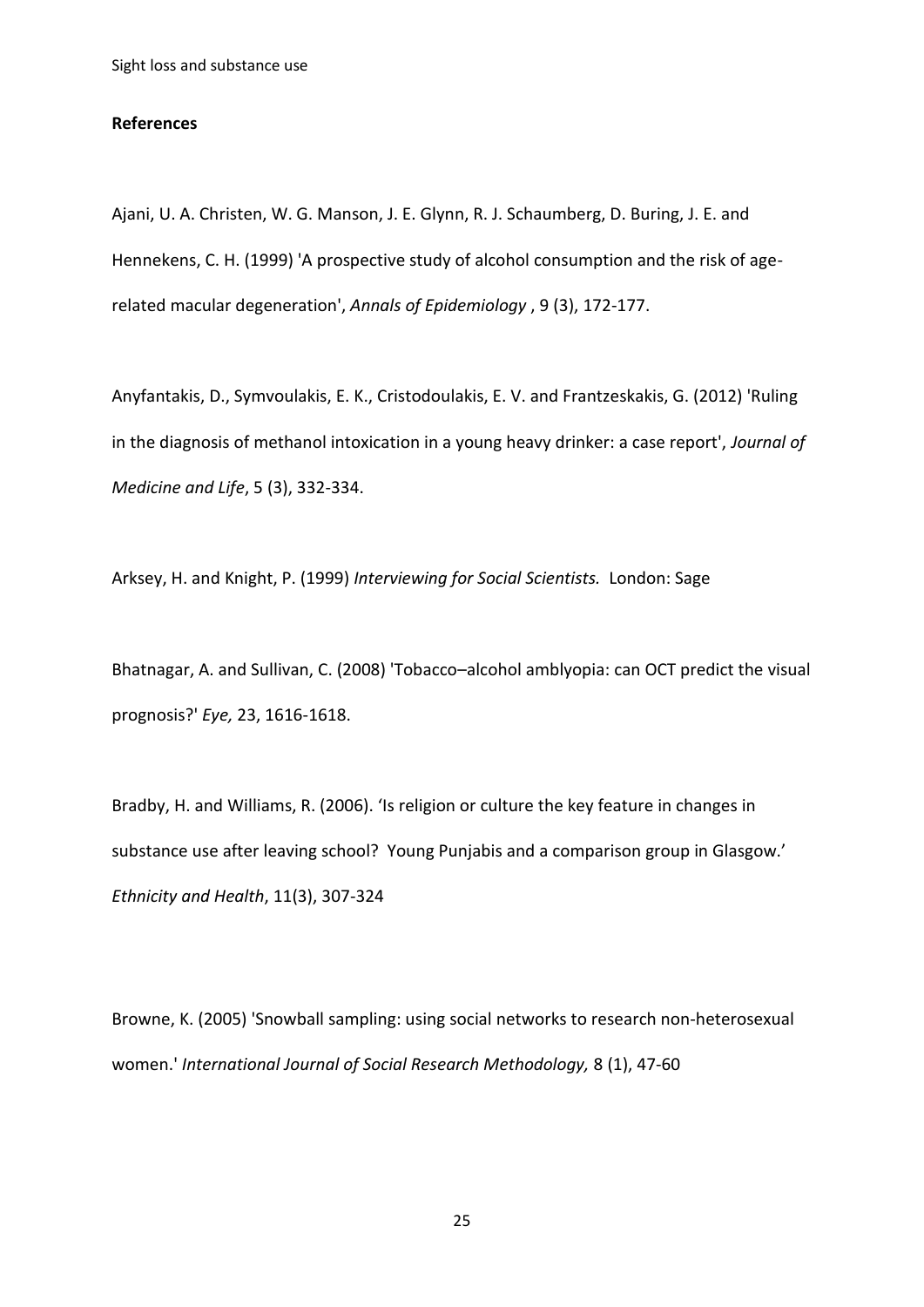#### **References**

Ajani, U. A. Christen, W. G. Manson, J. E. Glynn, R. J. Schaumberg, D. Buring, J. E. and Hennekens, C. H. (1999) 'A prospective study of alcohol consumption and the risk of agerelated macular degeneration', *Annals of Epidemiology* , 9 (3), 172-177.

Anyfantakis, D., Symvoulakis, E. K., Cristodoulakis, E. V. and Frantzeskakis, G. (2012) 'Ruling in the diagnosis of methanol intoxication in a young heavy drinker: a case report', *Journal of Medicine and Life*, 5 (3), 332-334.

Arksey, H. and Knight, P. (1999) *Interviewing for Social Scientists.* London: Sage

Bhatnagar, A. and Sullivan, C. (2008) 'Tobacco–alcohol amblyopia: can OCT predict the visual prognosis?' *Eye,* 23, 1616-1618.

Bradby, H. and Williams, R. (2006). 'Is religion or culture the key feature in changes in substance use after leaving school? Young Punjabis and a comparison group in Glasgow.' *Ethnicity and Health*, 11(3), 307-324

Browne, K. (2005) 'Snowball sampling: using social networks to research non‐heterosexual women.' *International Journal of Social Research Methodology,* 8 (1), 47-60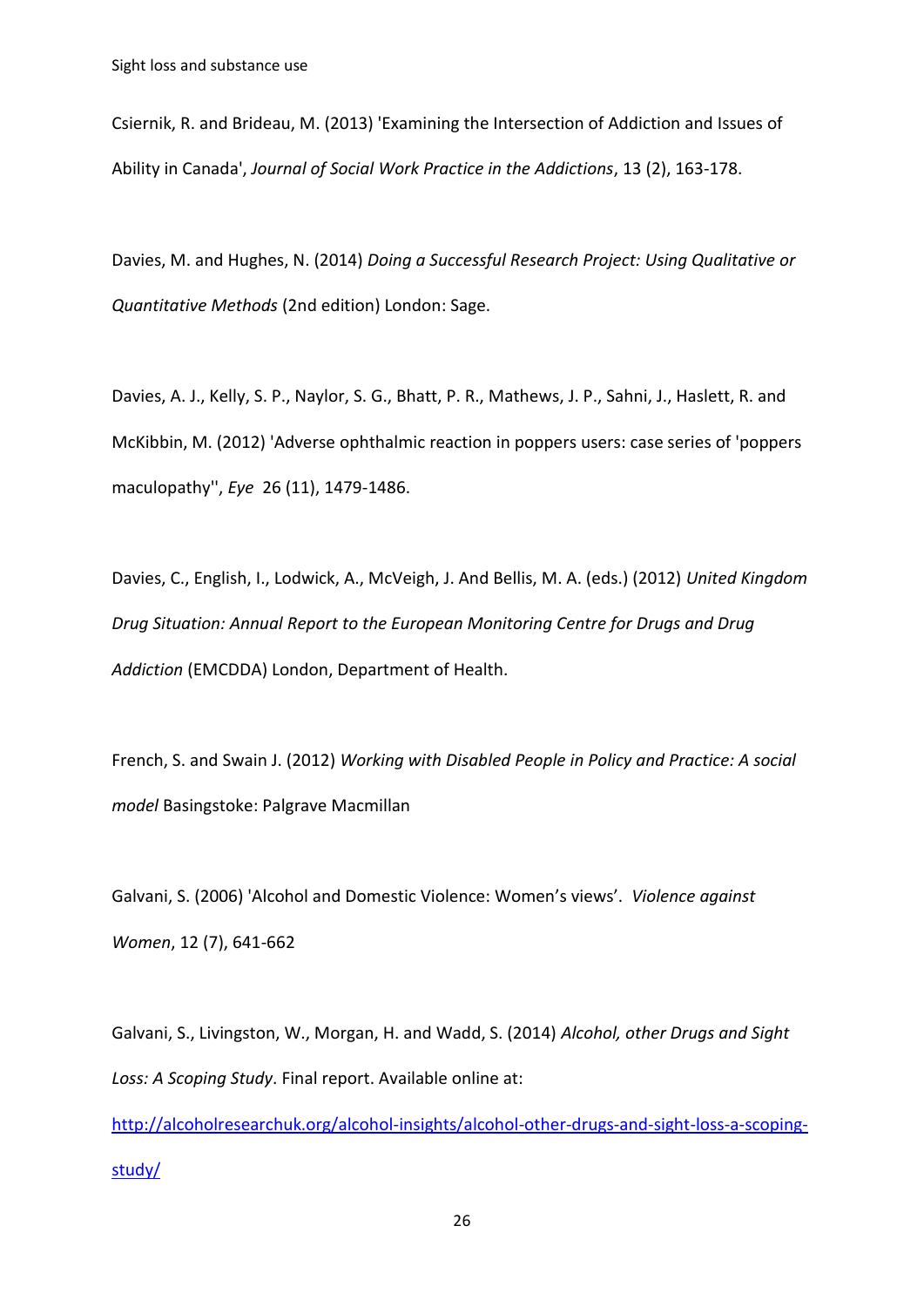Csiernik, R. and Brideau, M. (2013) 'Examining the Intersection of Addiction and Issues of Ability in Canada', *Journal of Social Work Practice in the Addictions*, 13 (2), 163-178.

Davies, M. and Hughes, N. (2014) *Doing a Successful Research Project: Using Qualitative or Quantitative Methods* (2nd edition) London: Sage.

Davies, A. J., Kelly, S. P., Naylor, S. G., Bhatt, P. R., Mathews, J. P., Sahni, J., Haslett, R. and McKibbin, M. (2012) 'Adverse ophthalmic reaction in poppers users: case series of 'poppers maculopathy'', *Eye* 26 (11), 1479-1486.

Davies, C., English, I., Lodwick, A., McVeigh, J. And Bellis, M. A. (eds.) (2012) *United Kingdom Drug Situation: Annual Report to the European Monitoring Centre for Drugs and Drug Addiction* (EMCDDA) London, Department of Health.

French, S. and Swain J. (2012) *Working with Disabled People in Policy and Practice: A social model* Basingstoke: Palgrave Macmillan

Galvani, S. (2006) 'Alcohol and Domestic Violence: Women's views'. *Violence against Women*, 12 (7), 641-662

Galvani, S., Livingston, W., Morgan, H. and Wadd, S. (2014) *Alcohol, other Drugs and Sight Loss: A Scoping Study*. Final report. Available online at:

[http://alcoholresearchuk.org/alcohol-insights/alcohol-other-drugs-and-sight-loss-a-scoping](http://alcoholresearchuk.org/alcohol-insights/alcohol-other-drugs-and-sight-loss-a-scoping-study/)[study/](http://alcoholresearchuk.org/alcohol-insights/alcohol-other-drugs-and-sight-loss-a-scoping-study/)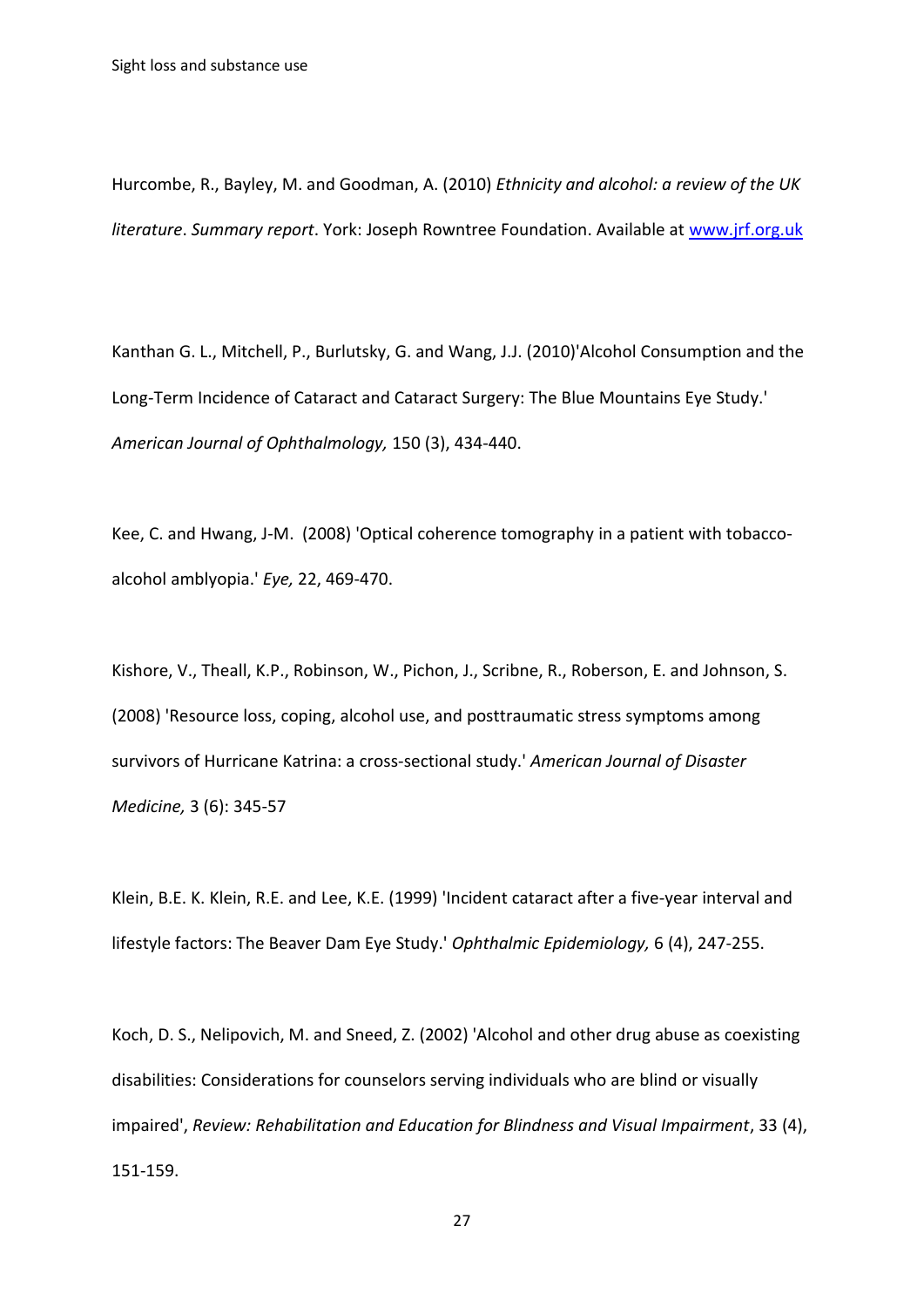Hurcombe, R., Bayley, M. and Goodman, A. (2010) *Ethnicity and alcohol: a review of the UK literature*. *Summary report*. York: Joseph Rowntree Foundation. Available at [www.jrf.org.uk](http://www.jrf.org.uk/)

Kanthan G. L., Mitchell, P., Burlutsky, G. and Wang, J.J. (2010)'Alcohol Consumption and the Long-Term Incidence of Cataract and Cataract Surgery: The Blue Mountains Eye Study.' *American Journal of Ophthalmology,* 150 (3), 434-440.

Kee, C. and Hwang, J-M. (2008) 'Optical coherence tomography in a patient with tobaccoalcohol amblyopia.' *Eye,* 22, 469-470.

[Kishore, V.](http://www.ncbi.nlm.nih.gov/pubmed/?term=Kishore%20V%5BAuthor%5D&cauthor=true&cauthor_uid=19202888)[, Theall, K.P.](http://www.ncbi.nlm.nih.gov/pubmed/?term=Theall%20KP%5BAuthor%5D&cauthor=true&cauthor_uid=19202888), [Robinson, W.](http://www.ncbi.nlm.nih.gov/pubmed/?term=Robinson%20W%5BAuthor%5D&cauthor=true&cauthor_uid=19202888), [Pichon,](http://www.ncbi.nlm.nih.gov/pubmed/?term=Pichon%20J%5BAuthor%5D&cauthor=true&cauthor_uid=19202888) J., [Scribne,](http://www.ncbi.nlm.nih.gov/pubmed/?term=Scribner%20R%5BAuthor%5D&cauthor=true&cauthor_uid=19202888) R., [Roberson,](http://www.ncbi.nlm.nih.gov/pubmed/?term=Roberson%20E%5BAuthor%5D&cauthor=true&cauthor_uid=19202888) E. and [Johnson,](http://www.ncbi.nlm.nih.gov/pubmed/?term=Johnson%20S%5BAuthor%5D&cauthor=true&cauthor_uid=19202888) S. (2008) 'Resource loss, coping, alcohol use, and posttraumatic stress symptoms among survivors of Hurricane Katrina: a cross-sectional study.' *American Journal of Disaster Medicine,* 3 (6): 345-57

Klein, B.E. K. Klein, R.E. and Lee, K.E. (1999) 'Incident cataract after a five-year interval and lifestyle factors: The Beaver Dam Eye Study.' *Ophthalmic Epidemiology,* 6 (4), 247-255.

Koch, D. S., Nelipovich, M. and Sneed, Z. (2002) 'Alcohol and other drug abuse as coexisting disabilities: Considerations for counselors serving individuals who are blind or visually impaired', *Review: Rehabilitation and Education for Blindness and Visual Impairment*, 33 (4), 151-159.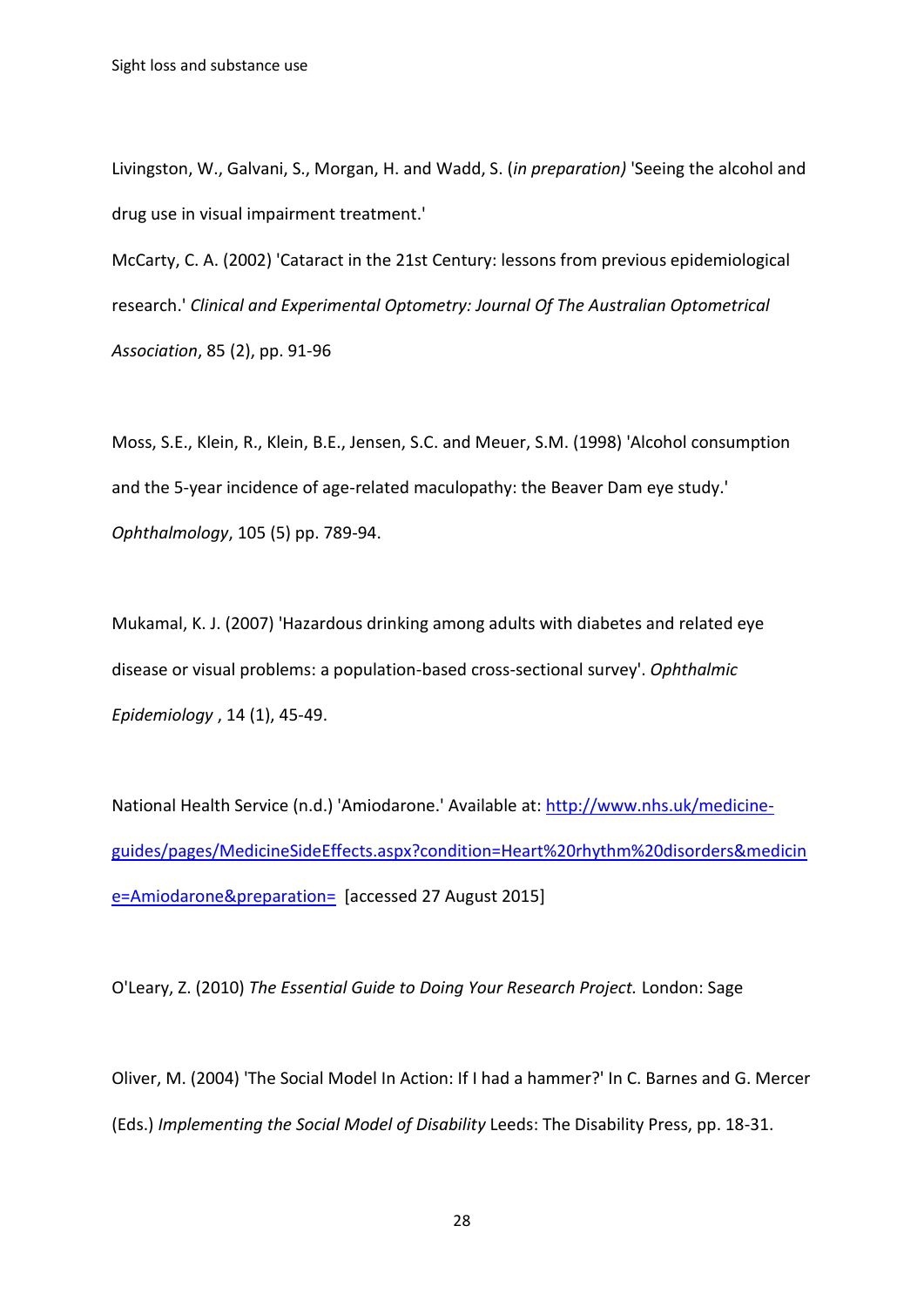Livingston, W., Galvani, S., Morgan, H. and Wadd, S. (*in preparation)* 'Seeing the alcohol and drug use in visual impairment treatment.'

McCarty, C. A. (2002) 'Cataract in the 21st Century: lessons from previous epidemiological research.' *Clinical and Experimental Optometry: Journal Of The Australian Optometrical Association*, 85 (2), pp. 91-96

Moss, S.E., Klein, R., Klein, B.E., Jensen, S.C. and Meuer, S.M. (1998) 'Alcohol consumption and the 5-year incidence of age-related maculopathy: the Beaver Dam eye study.' *Ophthalmology*, 105 (5) pp. 789-94.

Mukamal, K. J. (2007) 'Hazardous drinking among adults with diabetes and related eye disease or visual problems: a population-based cross-sectional survey'. *Ophthalmic Epidemiology* , 14 (1), 45-49.

National Health Service (n.d.) 'Amiodarone.' Available at[: http://www.nhs.uk/medicine](http://www.nhs.uk/medicine-guides/pages/MedicineSideEffects.aspx?condition=Heart%20rhythm%20disorders&medicine=Amiodarone&preparation=)[guides/pages/MedicineSideEffects.aspx?condition=Heart%20rhythm%20disorders&medicin](http://www.nhs.uk/medicine-guides/pages/MedicineSideEffects.aspx?condition=Heart%20rhythm%20disorders&medicine=Amiodarone&preparation=) [e=Amiodarone&preparation=](http://www.nhs.uk/medicine-guides/pages/MedicineSideEffects.aspx?condition=Heart%20rhythm%20disorders&medicine=Amiodarone&preparation=) [accessed 27 August 2015]

O'Leary, Z. (2010) *The Essential Guide to Doing Your Research Project.* London: Sage

Oliver, M. (2004) 'The Social Model In Action: If I had a hammer?' In C. Barnes and G. Mercer (Eds.) *Implementing the Social Model of Disability* Leeds: The Disability Press, pp. 18-31.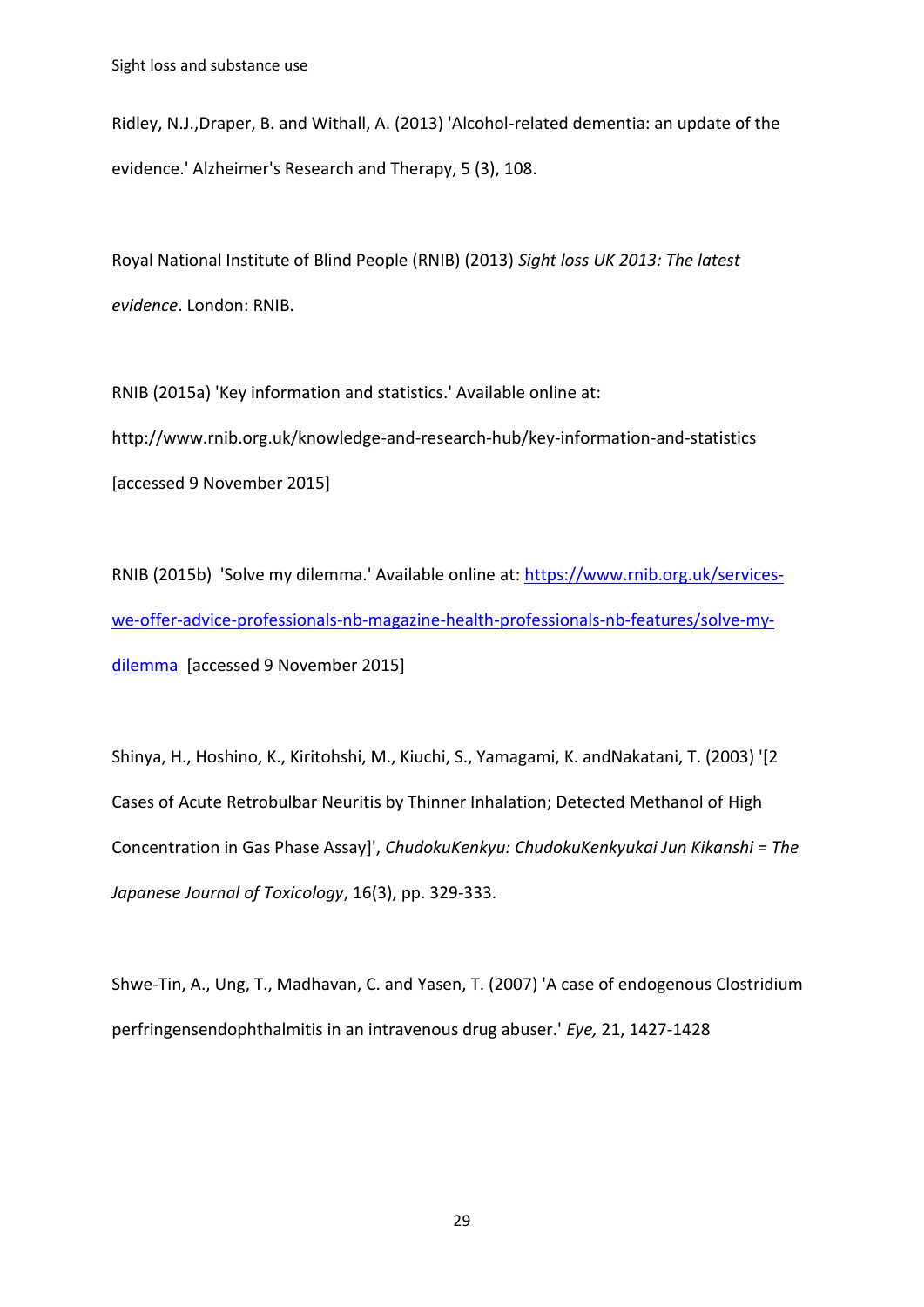Ridley, N.J.,Draper, B. and Withall, A. (2013) 'Alcohol-related dementia: an update of the evidence.' Alzheimer's Research and Therapy, 5 (3), 108.

Royal National Institute of Blind People (RNIB) (2013) *Sight loss UK 2013: The latest evidence*. London: RNIB.

RNIB (2015a) 'Key information and statistics.' Available online at: http://www.rnib.org.uk/knowledge-and-research-hub/key-information-and-statistics [accessed 9 November 2015]

RNIB (2015b) 'Solve my dilemma.' Available online at: [https://www.rnib.org.uk/services](https://www.rnib.org.uk/services-we-offer-advice-professionals-nb-magazine-health-professionals-nb-features/solve-my-dilemma)[we-offer-advice-professionals-nb-magazine-health-professionals-nb-features/solve-my](https://www.rnib.org.uk/services-we-offer-advice-professionals-nb-magazine-health-professionals-nb-features/solve-my-dilemma)[dilemma](https://www.rnib.org.uk/services-we-offer-advice-professionals-nb-magazine-health-professionals-nb-features/solve-my-dilemma) [accessed 9 November 2015]

Shinya, H., Hoshino, K., Kiritohshi, M., Kiuchi, S., Yamagami, K. andNakatani, T. (2003) '[2 Cases of Acute Retrobulbar Neuritis by Thinner Inhalation; Detected Methanol of High Concentration in Gas Phase Assay]', *ChudokuKenkyu: ChudokuKenkyukai Jun Kikanshi = The Japanese Journal of Toxicology*, 16(3), pp. 329-333.

Shwe-Tin, A., Ung, T., Madhavan, C. and Yasen, T. (2007) 'A case of endogenous Clostridium perfringensendophthalmitis in an intravenous drug abuser.' *Eye,* 21, 1427-1428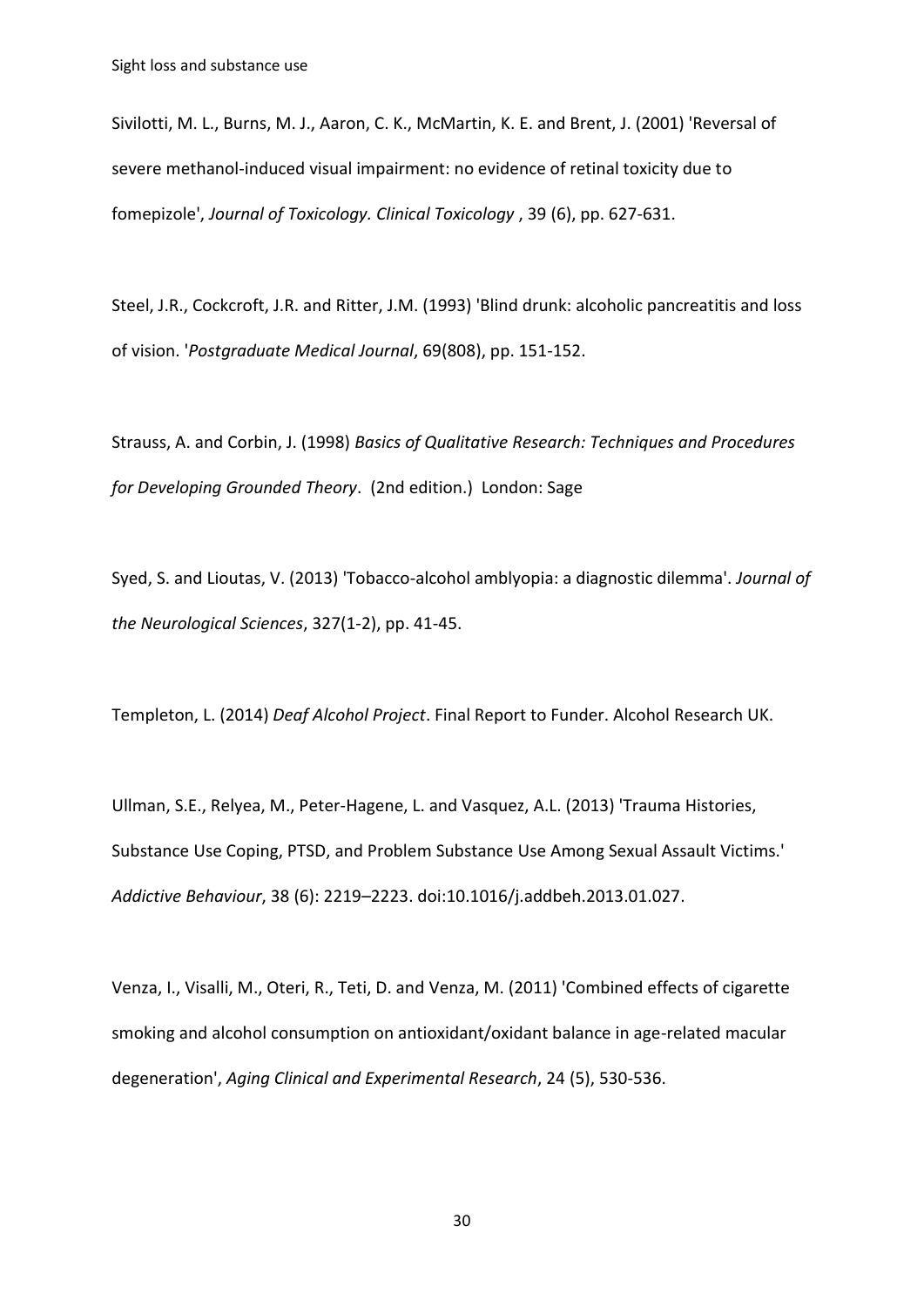Sivilotti, M. L., Burns, M. J., Aaron, C. K., McMartin, K. E. and Brent, J. (2001) 'Reversal of severe methanol-induced visual impairment: no evidence of retinal toxicity due to fomepizole', *Journal of Toxicology. Clinical Toxicology* , 39 (6), pp. 627-631.

Steel, J.R., Cockcroft, J.R. and Ritter, J.M. (1993) 'Blind drunk: alcoholic pancreatitis and loss of vision. '*Postgraduate Medical Journal*, 69(808), pp. 151-152.

Strauss, A. and Corbin, J. (1998) *Basics of Qualitative Research: Techniques and Procedures for Developing Grounded Theory*. (2nd edition.) London: Sage

Syed, S. and Lioutas, V. (2013) 'Tobacco-alcohol amblyopia: a diagnostic dilemma'. *Journal of the Neurological Sciences*, 327(1-2), pp. 41-45.

Templeton, L. (2014) *Deaf Alcohol Project*. Final Report to Funder. Alcohol Research UK.

Ullman, S.E., Relyea, M., Peter-Hagene, L. and Vasquez, A.L. (2013) 'Trauma Histories, Substance Use Coping, PTSD, and Problem Substance Use Among Sexual Assault Victims.' *Addictive Behaviour*, 38 (6): 2219–2223. doi:10.1016/j.addbeh.2013.01.027.

Venza, I., Visalli, M., Oteri, R., Teti, D. and Venza, M. (2011) 'Combined effects of cigarette smoking and alcohol consumption on antioxidant/oxidant balance in age-related macular degeneration', *Aging Clinical and Experimental Research*, 24 (5), 530-536.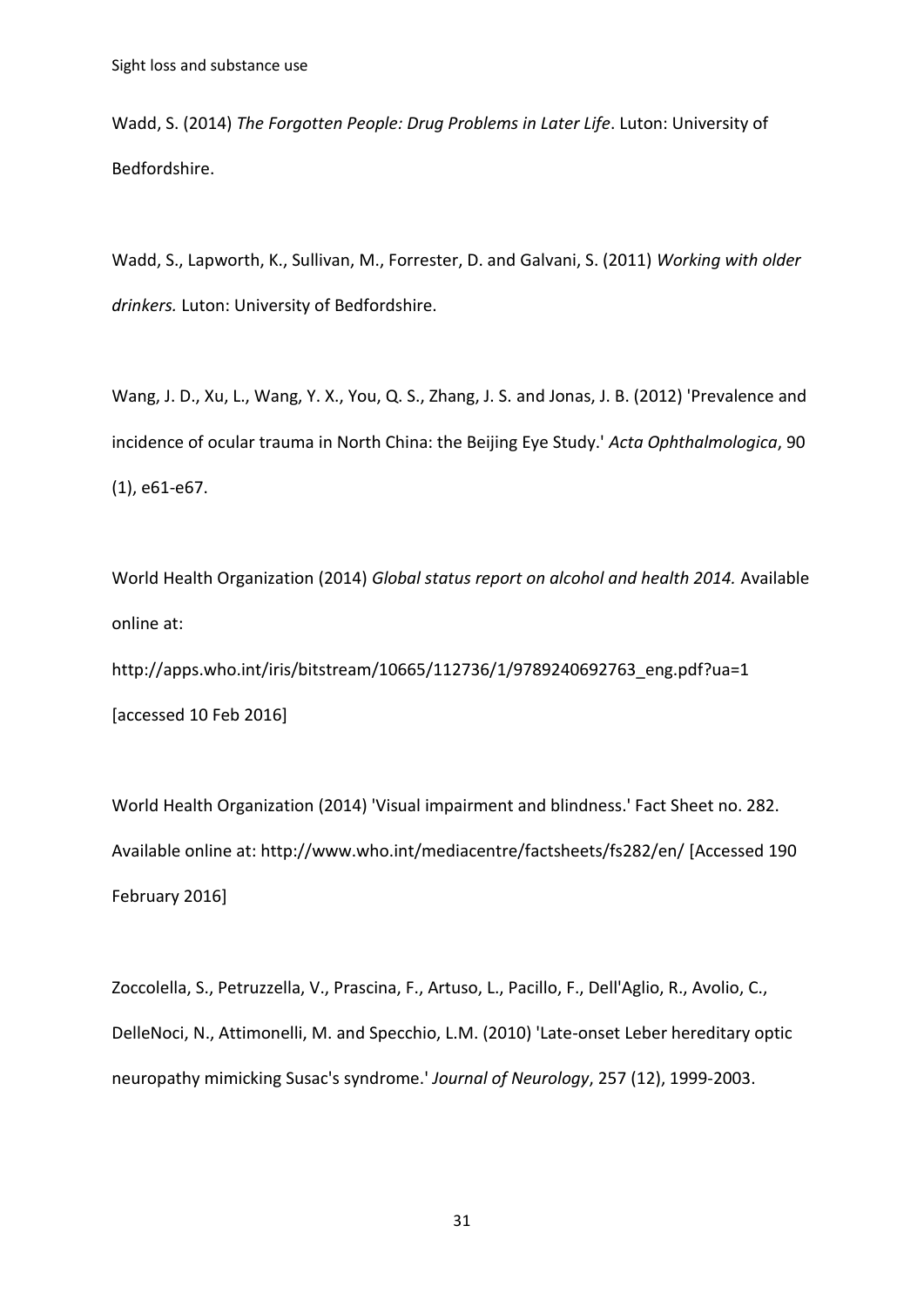Wadd, S. (2014) *The Forgotten People: Drug Problems in Later Life*. Luton: University of Bedfordshire.

Wadd, S., Lapworth, K., Sullivan, M., Forrester, D. and Galvani, S. (2011) *Working with older drinkers.* Luton: University of Bedfordshire.

Wang, J. D., Xu, L., Wang, Y. X., You, Q. S., Zhang, J. S. and Jonas, J. B. (2012) 'Prevalence and incidence of ocular trauma in North China: the Beijing Eye Study.' *Acta Ophthalmologica*, 90 (1), e61-e67.

World Health Organization (2014) *Global status report on alcohol and health 2014.* Available online at:

http://apps.who.int/iris/bitstream/10665/112736/1/9789240692763\_eng.pdf?ua=1 [accessed 10 Feb 2016]

World Health Organization (2014) 'Visual impairment and blindness.' Fact Sheet no. 282. Available online at: http://www.who.int/mediacentre/factsheets/fs282/en/ [Accessed 190 February 2016]

Zoccolella, S., Petruzzella, V., Prascina, F., Artuso, L., Pacillo, F., Dell'Aglio, R., Avolio, C., DelleNoci, N., Attimonelli, M. and Specchio, L.M. (2010) 'Late-onset Leber hereditary optic neuropathy mimicking Susac's syndrome.' *Journal of Neurology*, 257 (12), 1999-2003.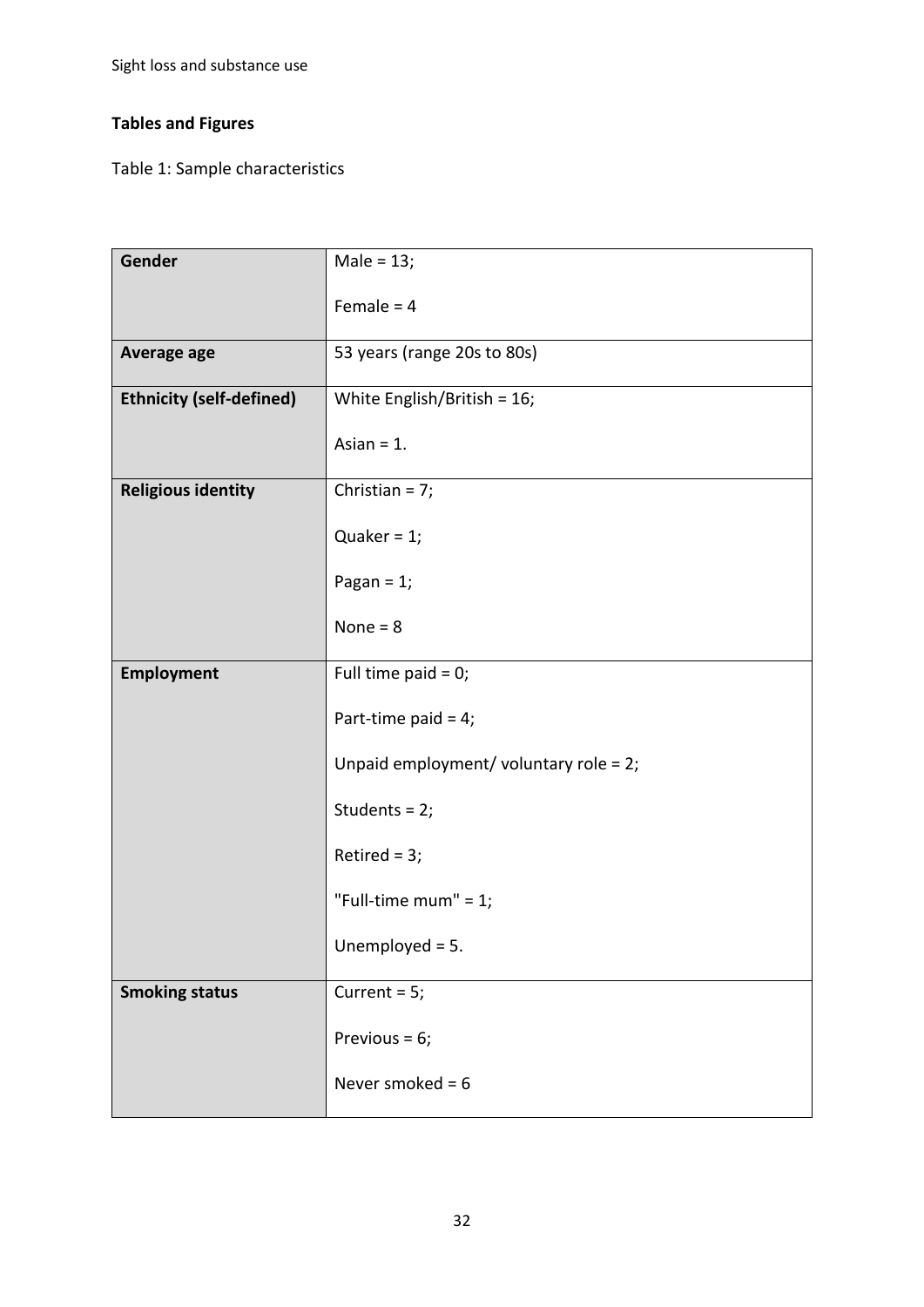# **Tables and Figures**

Table 1: Sample characteristics

| Gender                          | Male = $13;$                           |
|---------------------------------|----------------------------------------|
|                                 | Female = $4$                           |
| Average age                     | 53 years (range 20s to 80s)            |
| <b>Ethnicity (self-defined)</b> | White English/British = $16$ ;         |
|                                 | Asian $= 1$ .                          |
| <b>Religious identity</b>       | Christian = $7;$                       |
|                                 | Quaker = $1$ ;                         |
|                                 | Pagan = $1$ ;                          |
|                                 | None = $8$                             |
| <b>Employment</b>               | Full time paid = $0$ ;                 |
|                                 | Part-time paid = $4$ ;                 |
|                                 | Unpaid employment/ voluntary role = 2; |
|                                 | Students = $2;$                        |
|                                 | Retired = $3;$                         |
|                                 | "Full-time mum" = $1$ ;                |
|                                 | Unemployed $= 5$ .                     |
| <b>Smoking status</b>           | Current = $5;$                         |
|                                 | Previous = $6$ ;                       |
|                                 | Never smoked = $6$                     |